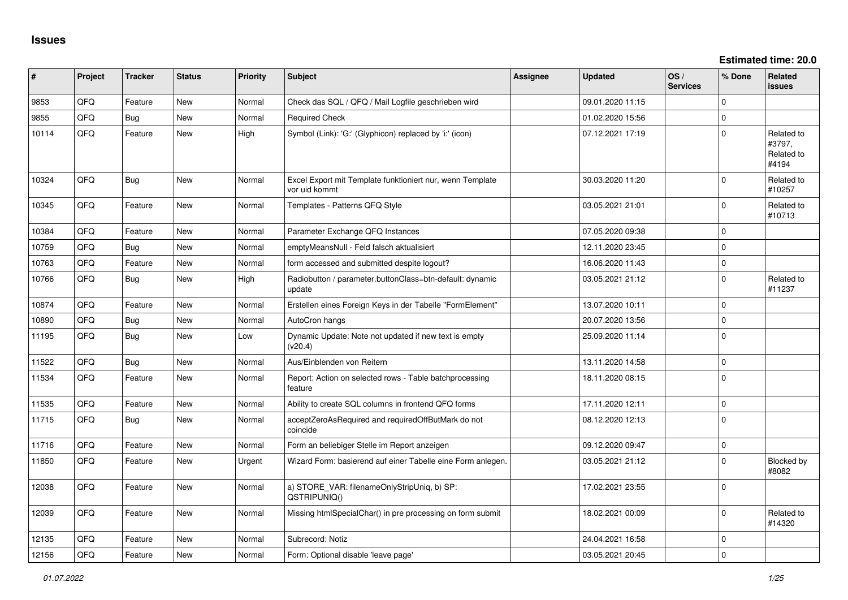**Estimated time: 20.0**

| #     | Project | <b>Tracker</b> | <b>Status</b> | <b>Priority</b> | <b>Subject</b>                                                             | <b>Assignee</b> | <b>Updated</b>   | OS/<br><b>Services</b> | % Done      | <b>Related</b><br><b>issues</b>             |
|-------|---------|----------------|---------------|-----------------|----------------------------------------------------------------------------|-----------------|------------------|------------------------|-------------|---------------------------------------------|
| 9853  | QFQ     | Feature        | <b>New</b>    | Normal          | Check das SQL / QFQ / Mail Logfile geschrieben wird                        |                 | 09.01.2020 11:15 |                        | $\Omega$    |                                             |
| 9855  | QFQ     | <b>Bug</b>     | <b>New</b>    | Normal          | <b>Required Check</b>                                                      |                 | 01.02.2020 15:56 |                        | $\mathbf 0$ |                                             |
| 10114 | QFQ     | Feature        | <b>New</b>    | High            | Symbol (Link): 'G:' (Glyphicon) replaced by 'i:' (icon)                    |                 | 07.12.2021 17:19 |                        | $\Omega$    | Related to<br>#3797.<br>Related to<br>#4194 |
| 10324 | QFQ     | Bug            | <b>New</b>    | Normal          | Excel Export mit Template funktioniert nur, wenn Template<br>vor uid kommt |                 | 30.03.2020 11:20 |                        | $\mathbf 0$ | Related to<br>#10257                        |
| 10345 | QFQ     | Feature        | New           | Normal          | Templates - Patterns QFQ Style                                             |                 | 03.05.2021 21:01 |                        | $\mathbf 0$ | Related to<br>#10713                        |
| 10384 | QFQ     | Feature        | <b>New</b>    | Normal          | Parameter Exchange QFQ Instances                                           |                 | 07.05.2020 09:38 |                        | $\mathbf 0$ |                                             |
| 10759 | QFQ     | <b>Bug</b>     | New           | Normal          | emptyMeansNull - Feld falsch aktualisiert                                  |                 | 12.11.2020 23:45 |                        | $\mathbf 0$ |                                             |
| 10763 | QFQ     | Feature        | <b>New</b>    | Normal          | form accessed and submitted despite logout?                                |                 | 16.06.2020 11:43 |                        | $\pmb{0}$   |                                             |
| 10766 | QFQ     | <b>Bug</b>     | <b>New</b>    | High            | Radiobutton / parameter.buttonClass=btn-default: dynamic<br>update         |                 | 03.05.2021 21:12 |                        | $\mathbf 0$ | Related to<br>#11237                        |
| 10874 | QFQ     | Feature        | New           | Normal          | Erstellen eines Foreign Keys in der Tabelle "FormElement"                  |                 | 13.07.2020 10:11 |                        | $\mathbf 0$ |                                             |
| 10890 | QFQ     | Bug            | New           | Normal          | AutoCron hangs                                                             |                 | 20.07.2020 13:56 |                        | $\mathbf 0$ |                                             |
| 11195 | QFQ     | <b>Bug</b>     | <b>New</b>    | Low             | Dynamic Update: Note not updated if new text is empty<br>(v20.4)           |                 | 25.09.2020 11:14 |                        | $\mathbf 0$ |                                             |
| 11522 | QFQ     | Bug            | <b>New</b>    | Normal          | Aus/Einblenden von Reitern                                                 |                 | 13.11.2020 14:58 |                        | $\mathbf 0$ |                                             |
| 11534 | QFQ     | Feature        | New           | Normal          | Report: Action on selected rows - Table batchprocessing<br>feature         |                 | 18.11.2020 08:15 |                        | $\mathbf 0$ |                                             |
| 11535 | QFQ     | Feature        | <b>New</b>    | Normal          | Ability to create SQL columns in frontend QFQ forms                        |                 | 17.11.2020 12:11 |                        | $\mathbf 0$ |                                             |
| 11715 | QFQ     | Bug            | New           | Normal          | acceptZeroAsRequired and requiredOffButMark do not<br>coincide             |                 | 08.12.2020 12:13 |                        | $\mathbf 0$ |                                             |
| 11716 | QFQ     | Feature        | New           | Normal          | Form an beliebiger Stelle im Report anzeigen                               |                 | 09.12.2020 09:47 |                        | $\mathbf 0$ |                                             |
| 11850 | QFQ     | Feature        | New           | Urgent          | Wizard Form: basierend auf einer Tabelle eine Form anlegen.                |                 | 03.05.2021 21:12 |                        | $\Omega$    | Blocked by<br>#8082                         |
| 12038 | QFQ     | Feature        | New           | Normal          | a) STORE_VAR: filenameOnlyStripUniq, b) SP:<br>QSTRIPUNIQ()                |                 | 17.02.2021 23:55 |                        | $\mathbf 0$ |                                             |
| 12039 | QFQ     | Feature        | <b>New</b>    | Normal          | Missing htmlSpecialChar() in pre processing on form submit                 |                 | 18.02.2021 00:09 |                        | $\mathbf 0$ | Related to<br>#14320                        |
| 12135 | QFQ     | Feature        | <b>New</b>    | Normal          | Subrecord: Notiz                                                           |                 | 24.04.2021 16:58 |                        | $\mathbf 0$ |                                             |
| 12156 | QFQ     | Feature        | <b>New</b>    | Normal          | Form: Optional disable 'leave page'                                        |                 | 03.05.2021 20:45 |                        | $\mathbf 0$ |                                             |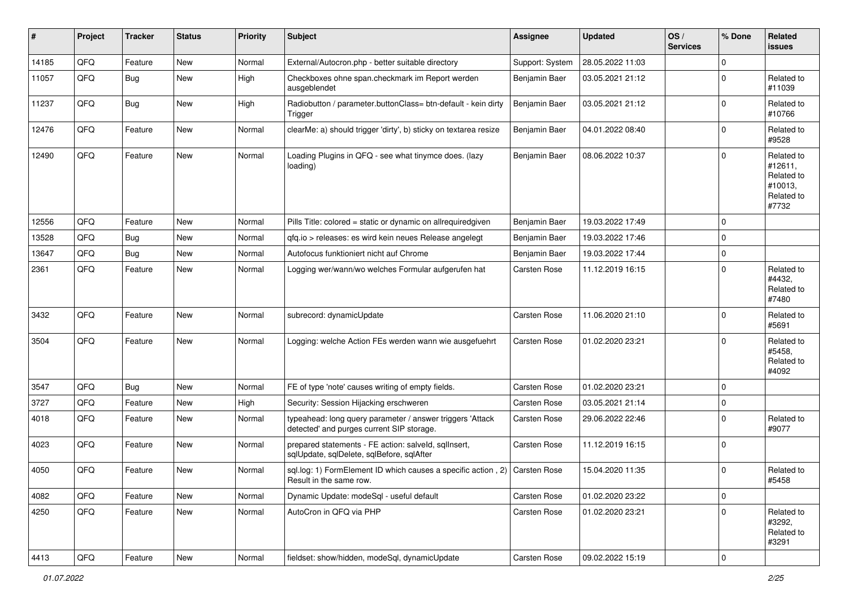| $\sharp$ | Project        | <b>Tracker</b> | <b>Status</b> | <b>Priority</b> | <b>Subject</b>                                                                                         | <b>Assignee</b> | <b>Updated</b>   | OS/<br><b>Services</b> | % Done      | Related<br><b>issues</b>                                              |
|----------|----------------|----------------|---------------|-----------------|--------------------------------------------------------------------------------------------------------|-----------------|------------------|------------------------|-------------|-----------------------------------------------------------------------|
| 14185    | QFQ            | Feature        | <b>New</b>    | Normal          | External/Autocron.php - better suitable directory                                                      | Support: System | 28.05.2022 11:03 |                        | 0           |                                                                       |
| 11057    | QFQ            | Bug            | <b>New</b>    | High            | Checkboxes ohne span.checkmark im Report werden<br>ausgeblendet                                        | Benjamin Baer   | 03.05.2021 21:12 |                        | $\mathbf 0$ | Related to<br>#11039                                                  |
| 11237    | QFQ            | Bug            | New           | High            | Radiobutton / parameter.buttonClass= btn-default - kein dirty<br>Trigger                               | Benjamin Baer   | 03.05.2021 21:12 |                        | $\mathbf 0$ | Related to<br>#10766                                                  |
| 12476    | QFQ            | Feature        | <b>New</b>    | Normal          | clearMe: a) should trigger 'dirty', b) sticky on textarea resize                                       | Benjamin Baer   | 04.01.2022 08:40 |                        | $\mathbf 0$ | Related to<br>#9528                                                   |
| 12490    | QFQ            | Feature        | New           | Normal          | Loading Plugins in QFQ - see what tinymce does. (lazy<br>loading)                                      | Benjamin Baer   | 08.06.2022 10:37 |                        | $\Omega$    | Related to<br>#12611,<br>Related to<br>#10013,<br>Related to<br>#7732 |
| 12556    | QFQ            | Feature        | New           | Normal          | Pills Title: colored = static or dynamic on allrequiredgiven                                           | Benjamin Baer   | 19.03.2022 17:49 |                        | $\Omega$    |                                                                       |
| 13528    | QFQ            | Bug            | <b>New</b>    | Normal          | qfq.io > releases: es wird kein neues Release angelegt                                                 | Benjamin Baer   | 19.03.2022 17:46 |                        | 0           |                                                                       |
| 13647    | QFQ            | <b>Bug</b>     | <b>New</b>    | Normal          | Autofocus funktioniert nicht auf Chrome                                                                | Benjamin Baer   | 19.03.2022 17:44 |                        | $\pmb{0}$   |                                                                       |
| 2361     | QFQ            | Feature        | New           | Normal          | Logging wer/wann/wo welches Formular aufgerufen hat                                                    | Carsten Rose    | 11.12.2019 16:15 |                        | $\Omega$    | Related to<br>#4432.<br>Related to<br>#7480                           |
| 3432     | QFQ            | Feature        | <b>New</b>    | Normal          | subrecord: dynamicUpdate                                                                               | Carsten Rose    | 11.06.2020 21:10 |                        | $\mathbf 0$ | Related to<br>#5691                                                   |
| 3504     | QFQ            | Feature        | <b>New</b>    | Normal          | Logging: welche Action FEs werden wann wie ausgefuehrt                                                 | Carsten Rose    | 01.02.2020 23:21 |                        | $\Omega$    | Related to<br>#5458,<br>Related to<br>#4092                           |
| 3547     | QFQ            | <b>Bug</b>     | New           | Normal          | FE of type 'note' causes writing of empty fields.                                                      | Carsten Rose    | 01.02.2020 23:21 |                        | $\mathbf 0$ |                                                                       |
| 3727     | QFQ            | Feature        | New           | High            | Security: Session Hijacking erschweren                                                                 | Carsten Rose    | 03.05.2021 21:14 |                        | $\pmb{0}$   |                                                                       |
| 4018     | QFQ            | Feature        | <b>New</b>    | Normal          | typeahead: long query parameter / answer triggers 'Attack<br>detected' and purges current SIP storage. | Carsten Rose    | 29.06.2022 22:46 |                        | $\mathbf 0$ | Related to<br>#9077                                                   |
| 4023     | QFQ            | Feature        | New           | Normal          | prepared statements - FE action: salveld, sqlInsert,<br>sqlUpdate, sqlDelete, sqlBefore, sqlAfter      | Carsten Rose    | 11.12.2019 16:15 |                        | $\Omega$    |                                                                       |
| 4050     | QFQ            | Feature        | <b>New</b>    | Normal          | sql.log: 1) FormElement ID which causes a specific action, 2) Carsten Rose<br>Result in the same row.  |                 | 15.04.2020 11:35 |                        | $\mathbf 0$ | Related to<br>#5458                                                   |
| 4082     | QFQ            | Feature        | New           | Normal          | Dynamic Update: modeSql - useful default                                                               | Carsten Rose    | 01.02.2020 23:22 |                        | $\mathbf 0$ |                                                                       |
| 4250     | QFQ            | Feature        | New           | Normal          | AutoCron in QFQ via PHP                                                                                | Carsten Rose    | 01.02.2020 23:21 |                        | $\mathbf 0$ | Related to<br>#3292,<br>Related to<br>#3291                           |
| 4413     | $\mathsf{QFQ}$ | Feature        | New           | Normal          | fieldset: show/hidden, modeSql, dynamicUpdate                                                          | Carsten Rose    | 09.02.2022 15:19 |                        | $\mathbf 0$ |                                                                       |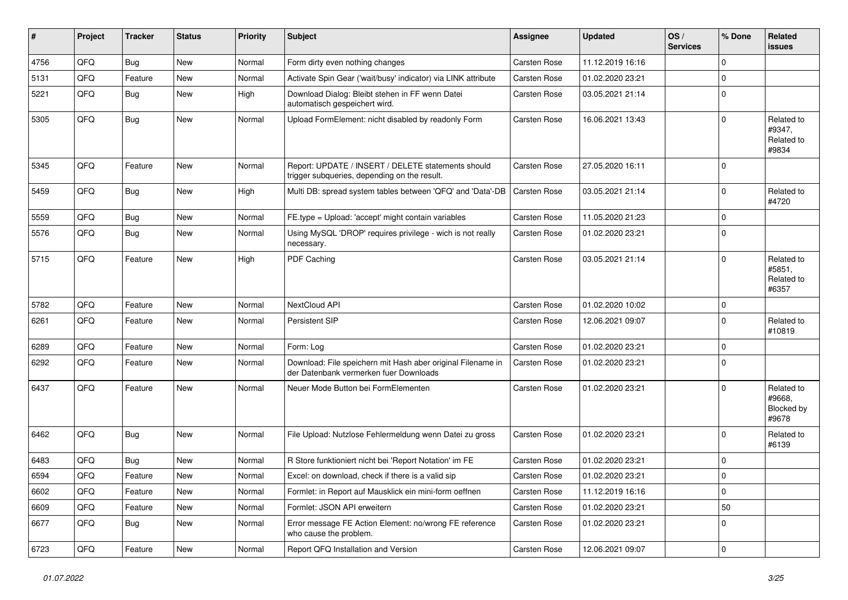| ∦    | Project | <b>Tracker</b> | <b>Status</b> | <b>Priority</b> | <b>Subject</b>                                                                                        | <b>Assignee</b>     | <b>Updated</b>   | OS/<br><b>Services</b> | % Done      | Related<br><b>issues</b>                    |
|------|---------|----------------|---------------|-----------------|-------------------------------------------------------------------------------------------------------|---------------------|------------------|------------------------|-------------|---------------------------------------------|
| 4756 | QFQ     | Bug            | New           | Normal          | Form dirty even nothing changes                                                                       | <b>Carsten Rose</b> | 11.12.2019 16:16 |                        | $\mathbf 0$ |                                             |
| 5131 | QFQ     | Feature        | New           | Normal          | Activate Spin Gear ('wait/busy' indicator) via LINK attribute                                         | Carsten Rose        | 01.02.2020 23:21 |                        | $\Omega$    |                                             |
| 5221 | QFQ     | Bug            | New           | High            | Download Dialog: Bleibt stehen in FF wenn Datei<br>automatisch gespeichert wird.                      | <b>Carsten Rose</b> | 03.05.2021 21:14 |                        | $\Omega$    |                                             |
| 5305 | QFQ     | <b>Bug</b>     | New           | Normal          | Upload FormElement: nicht disabled by readonly Form                                                   | Carsten Rose        | 16.06.2021 13:43 |                        | $\Omega$    | Related to<br>#9347,<br>Related to<br>#9834 |
| 5345 | QFQ     | Feature        | <b>New</b>    | Normal          | Report: UPDATE / INSERT / DELETE statements should<br>trigger subqueries, depending on the result.    | Carsten Rose        | 27.05.2020 16:11 |                        | $\Omega$    |                                             |
| 5459 | QFQ     | <b>Bug</b>     | <b>New</b>    | High            | Multi DB: spread system tables between 'QFQ' and 'Data'-DB                                            | <b>Carsten Rose</b> | 03.05.2021 21:14 |                        | $\Omega$    | Related to<br>#4720                         |
| 5559 | QFQ     | Bug            | New           | Normal          | FE.type = Upload: 'accept' might contain variables                                                    | Carsten Rose        | 11.05.2020 21:23 |                        | $\Omega$    |                                             |
| 5576 | QFQ     | Bug            | New           | Normal          | Using MySQL 'DROP' requires privilege - wich is not really<br>necessary.                              | <b>Carsten Rose</b> | 01.02.2020 23:21 |                        | $\Omega$    |                                             |
| 5715 | QFQ     | Feature        | <b>New</b>    | High            | PDF Caching                                                                                           | Carsten Rose        | 03.05.2021 21:14 |                        | $\Omega$    | Related to<br>#5851,<br>Related to<br>#6357 |
| 5782 | QFQ     | Feature        | <b>New</b>    | Normal          | NextCloud API                                                                                         | <b>Carsten Rose</b> | 01.02.2020 10:02 |                        | $\mathbf 0$ |                                             |
| 6261 | QFQ     | Feature        | <b>New</b>    | Normal          | Persistent SIP                                                                                        | Carsten Rose        | 12.06.2021 09:07 |                        | $\mathbf 0$ | Related to<br>#10819                        |
| 6289 | QFQ     | Feature        | <b>New</b>    | Normal          | Form: Log                                                                                             | Carsten Rose        | 01.02.2020 23:21 |                        | $\Omega$    |                                             |
| 6292 | QFQ     | Feature        | <b>New</b>    | Normal          | Download: File speichern mit Hash aber original Filename in<br>der Datenbank vermerken fuer Downloads | Carsten Rose        | 01.02.2020 23:21 |                        | $\Omega$    |                                             |
| 6437 | QFQ     | Feature        | <b>New</b>    | Normal          | Neuer Mode Button bei FormElementen                                                                   | Carsten Rose        | 01.02.2020 23:21 |                        | $\Omega$    | Related to<br>#9668.<br>Blocked by<br>#9678 |
| 6462 | QFQ     | <b>Bug</b>     | <b>New</b>    | Normal          | File Upload: Nutzlose Fehlermeldung wenn Datei zu gross                                               | Carsten Rose        | 01.02.2020 23:21 |                        | $\Omega$    | Related to<br>#6139                         |
| 6483 | QFQ     | Bug            | <b>New</b>    | Normal          | R Store funktioniert nicht bei 'Report Notation' im FE                                                | <b>Carsten Rose</b> | 01.02.2020 23:21 |                        | $\mathbf 0$ |                                             |
| 6594 | QFQ     | Feature        | New           | Normal          | Excel: on download, check if there is a valid sip                                                     | <b>Carsten Rose</b> | 01.02.2020 23:21 |                        | $\Omega$    |                                             |
| 6602 | QFQ     | Feature        | New           | Normal          | Formlet: in Report auf Mausklick ein mini-form oeffnen                                                | Carsten Rose        | 11.12.2019 16:16 |                        | 0           |                                             |
| 6609 | QFQ     | Feature        | New           | Normal          | Formlet: JSON API erweitern                                                                           | Carsten Rose        | 01.02.2020 23:21 |                        | 50          |                                             |
| 6677 | QFQ     | <b>Bug</b>     | New           | Normal          | Error message FE Action Element: no/wrong FE reference<br>who cause the problem.                      | Carsten Rose        | 01.02.2020 23:21 |                        | 0           |                                             |
| 6723 | QFG     | Feature        | New           | Normal          | Report QFQ Installation and Version                                                                   | Carsten Rose        | 12.06.2021 09:07 |                        | $\pmb{0}$   |                                             |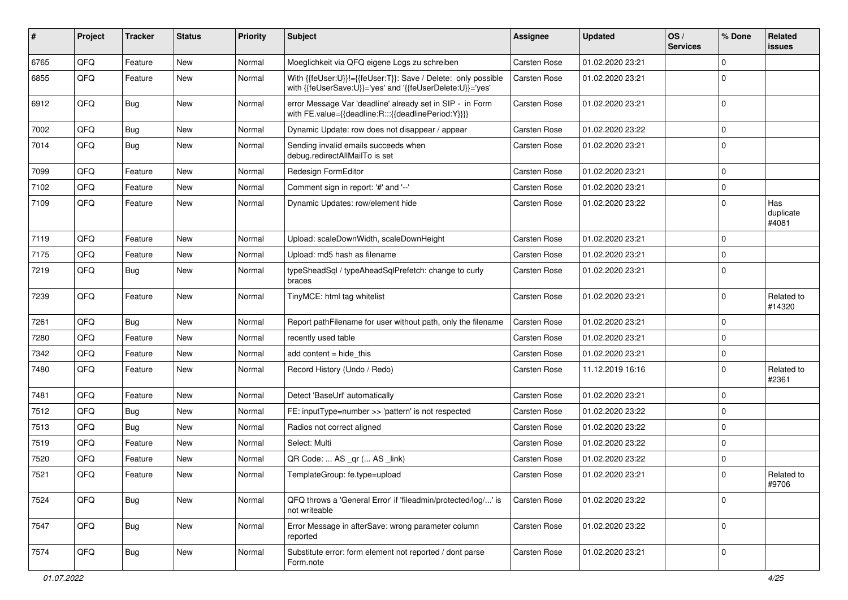| #    | Project | <b>Tracker</b> | <b>Status</b> | <b>Priority</b> | <b>Subject</b>                                                                                                             | Assignee            | <b>Updated</b>   | OS/<br><b>Services</b> | % Done      | Related<br><b>issues</b>  |
|------|---------|----------------|---------------|-----------------|----------------------------------------------------------------------------------------------------------------------------|---------------------|------------------|------------------------|-------------|---------------------------|
| 6765 | QFQ     | Feature        | <b>New</b>    | Normal          | Moeglichkeit via QFQ eigene Logs zu schreiben                                                                              | Carsten Rose        | 01.02.2020 23:21 |                        | $\mathbf 0$ |                           |
| 6855 | QFQ     | Feature        | New           | Normal          | With {{feUser:U}}!={{feUser:T}}: Save / Delete: only possible<br>with {{feUserSave:U}}='yes' and '{{feUserDelete:U}}='yes' | Carsten Rose        | 01.02.2020 23:21 |                        | $\mathbf 0$ |                           |
| 6912 | QFQ     | <b>Bug</b>     | <b>New</b>    | Normal          | error Message Var 'deadline' already set in SIP - in Form<br>with FE.value={{deadline:R:::{{deadlinePeriod:Y}}}}           | Carsten Rose        | 01.02.2020 23:21 |                        | $\mathbf 0$ |                           |
| 7002 | QFQ     | Bug            | New           | Normal          | Dynamic Update: row does not disappear / appear                                                                            | Carsten Rose        | 01.02.2020 23:22 |                        | $\mathbf 0$ |                           |
| 7014 | QFQ     | Bug            | <b>New</b>    | Normal          | Sending invalid emails succeeds when<br>debug.redirectAllMailTo is set                                                     | Carsten Rose        | 01.02.2020 23:21 |                        | $\mathbf 0$ |                           |
| 7099 | QFQ     | Feature        | <b>New</b>    | Normal          | Redesign FormEditor                                                                                                        | Carsten Rose        | 01.02.2020 23:21 |                        | $\mathbf 0$ |                           |
| 7102 | QFQ     | Feature        | <b>New</b>    | Normal          | Comment sign in report: '#' and '--'                                                                                       | Carsten Rose        | 01.02.2020 23:21 |                        | $\mathbf 0$ |                           |
| 7109 | QFQ     | Feature        | <b>New</b>    | Normal          | Dynamic Updates: row/element hide                                                                                          | Carsten Rose        | 01.02.2020 23:22 |                        | $\mathbf 0$ | Has<br>duplicate<br>#4081 |
| 7119 | QFQ     | Feature        | <b>New</b>    | Normal          | Upload: scaleDownWidth, scaleDownHeight                                                                                    | Carsten Rose        | 01.02.2020 23:21 |                        | $\mathbf 0$ |                           |
| 7175 | QFQ     | Feature        | <b>New</b>    | Normal          | Upload: md5 hash as filename                                                                                               | <b>Carsten Rose</b> | 01.02.2020 23:21 |                        | $\mathbf 0$ |                           |
| 7219 | QFQ     | <b>Bug</b>     | New           | Normal          | typeSheadSql / typeAheadSqlPrefetch: change to curly<br>braces                                                             | Carsten Rose        | 01.02.2020 23:21 |                        | $\mathbf 0$ |                           |
| 7239 | QFQ     | Feature        | New           | Normal          | TinyMCE: html tag whitelist                                                                                                | Carsten Rose        | 01.02.2020 23:21 |                        | $\mathbf 0$ | Related to<br>#14320      |
| 7261 | QFQ     | Bug            | <b>New</b>    | Normal          | Report pathFilename for user without path, only the filename                                                               | Carsten Rose        | 01.02.2020 23:21 |                        | $\mathbf 0$ |                           |
| 7280 | QFQ     | Feature        | <b>New</b>    | Normal          | recently used table                                                                                                        | Carsten Rose        | 01.02.2020 23:21 |                        | $\mathbf 0$ |                           |
| 7342 | QFQ     | Feature        | New           | Normal          | add content $=$ hide this                                                                                                  | Carsten Rose        | 01.02.2020 23:21 |                        | $\mathbf 0$ |                           |
| 7480 | QFQ     | Feature        | <b>New</b>    | Normal          | Record History (Undo / Redo)                                                                                               | Carsten Rose        | 11.12.2019 16:16 |                        | $\mathbf 0$ | Related to<br>#2361       |
| 7481 | QFQ     | Feature        | <b>New</b>    | Normal          | Detect 'BaseUrl' automatically                                                                                             | Carsten Rose        | 01.02.2020 23:21 |                        | $\mathbf 0$ |                           |
| 7512 | QFQ     | <b>Bug</b>     | <b>New</b>    | Normal          | FE: inputType=number >> 'pattern' is not respected                                                                         | Carsten Rose        | 01.02.2020 23:22 |                        | $\mathbf 0$ |                           |
| 7513 | QFQ     | Bug            | New           | Normal          | Radios not correct aligned                                                                                                 | Carsten Rose        | 01.02.2020 23:22 |                        | $\mathbf 0$ |                           |
| 7519 | QFQ     | Feature        | <b>New</b>    | Normal          | Select: Multi                                                                                                              | Carsten Rose        | 01.02.2020 23:22 |                        | $\mathbf 0$ |                           |
| 7520 | QFQ     | Feature        | New           | Normal          | QR Code:  AS _qr ( AS _link)                                                                                               | Carsten Rose        | 01.02.2020 23:22 |                        | $\mathbf 0$ |                           |
| 7521 | QFQ     | Feature        | <b>New</b>    | Normal          | TemplateGroup: fe.type=upload                                                                                              | <b>Carsten Rose</b> | 01.02.2020 23:21 |                        | $\mathbf 0$ | Related to<br>#9706       |
| 7524 | QFQ     | <b>Bug</b>     | New           | Normal          | QFQ throws a 'General Error' if 'fileadmin/protected/log/' is<br>not writeable                                             | Carsten Rose        | 01.02.2020 23:22 |                        | $\mathbf 0$ |                           |
| 7547 | QFQ     | <b>Bug</b>     | New           | Normal          | Error Message in afterSave: wrong parameter column<br>reported                                                             | Carsten Rose        | 01.02.2020 23:22 |                        | $\mathbf 0$ |                           |
| 7574 | QFQ     | Bug            | New           | Normal          | Substitute error: form element not reported / dont parse<br>Form.note                                                      | Carsten Rose        | 01.02.2020 23:21 |                        | $\mathbf 0$ |                           |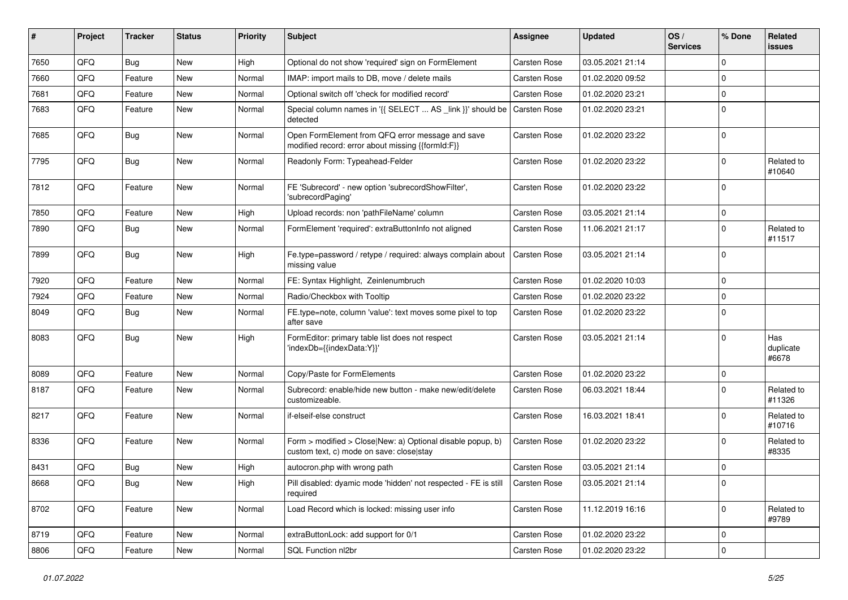| #    | Project | <b>Tracker</b> | <b>Status</b> | <b>Priority</b> | <b>Subject</b>                                                                                         | <b>Assignee</b>     | <b>Updated</b>   | OS/<br><b>Services</b> | % Done      | Related<br><b>issues</b>  |
|------|---------|----------------|---------------|-----------------|--------------------------------------------------------------------------------------------------------|---------------------|------------------|------------------------|-------------|---------------------------|
| 7650 | QFQ     | <b>Bug</b>     | <b>New</b>    | High            | Optional do not show 'required' sign on FormElement                                                    | Carsten Rose        | 03.05.2021 21:14 |                        | $\Omega$    |                           |
| 7660 | QFQ     | Feature        | New           | Normal          | IMAP: import mails to DB, move / delete mails                                                          | Carsten Rose        | 01.02.2020 09:52 |                        | $\mathbf 0$ |                           |
| 7681 | QFQ     | Feature        | New           | Normal          | Optional switch off 'check for modified record'                                                        | Carsten Rose        | 01.02.2020 23:21 |                        | $\Omega$    |                           |
| 7683 | QFQ     | Feature        | New           | Normal          | Special column names in '{{ SELECT  AS _link }}' should be<br>detected                                 | <b>Carsten Rose</b> | 01.02.2020 23:21 |                        | $\Omega$    |                           |
| 7685 | QFQ     | Bug            | New           | Normal          | Open FormElement from QFQ error message and save<br>modified record: error about missing {{formId:F}}  | Carsten Rose        | 01.02.2020 23:22 |                        | $\mathbf 0$ |                           |
| 7795 | QFQ     | Bug            | <b>New</b>    | Normal          | Readonly Form: Typeahead-Felder                                                                        | Carsten Rose        | 01.02.2020 23:22 |                        | $\Omega$    | Related to<br>#10640      |
| 7812 | QFQ     | Feature        | New           | Normal          | FE 'Subrecord' - new option 'subrecordShowFilter',<br>'subrecordPaging'                                | Carsten Rose        | 01.02.2020 23:22 |                        | $\mathbf 0$ |                           |
| 7850 | QFQ     | Feature        | <b>New</b>    | High            | Upload records: non 'pathFileName' column                                                              | Carsten Rose        | 03.05.2021 21:14 |                        | $\mathbf 0$ |                           |
| 7890 | QFQ     | Bug            | <b>New</b>    | Normal          | FormElement 'required': extraButtonInfo not aligned                                                    | Carsten Rose        | 11.06.2021 21:17 |                        | $\Omega$    | Related to<br>#11517      |
| 7899 | QFQ     | Bug            | <b>New</b>    | High            | Fe.type=password / retype / required: always complain about<br>missing value                           | Carsten Rose        | 03.05.2021 21:14 |                        | $\Omega$    |                           |
| 7920 | QFQ     | Feature        | New           | Normal          | FE: Syntax Highlight, Zeinlenumbruch                                                                   | Carsten Rose        | 01.02.2020 10:03 |                        | $\mathbf 0$ |                           |
| 7924 | QFQ     | Feature        | New           | Normal          | Radio/Checkbox with Tooltip                                                                            | Carsten Rose        | 01.02.2020 23:22 |                        | $\mathbf 0$ |                           |
| 8049 | QFQ     | Bug            | New           | Normal          | FE.type=note, column 'value': text moves some pixel to top<br>after save                               | Carsten Rose        | 01.02.2020 23:22 |                        | $\Omega$    |                           |
| 8083 | QFQ     | Bug            | <b>New</b>    | High            | FormEditor: primary table list does not respect<br>'indexDb={{indexData:Y}}'                           | Carsten Rose        | 03.05.2021 21:14 |                        | $\Omega$    | Has<br>duplicate<br>#6678 |
| 8089 | QFQ     | Feature        | <b>New</b>    | Normal          | Copy/Paste for FormElements                                                                            | Carsten Rose        | 01.02.2020 23:22 |                        | $\mathbf 0$ |                           |
| 8187 | QFQ     | Feature        | New           | Normal          | Subrecord: enable/hide new button - make new/edit/delete<br>customizeable.                             | Carsten Rose        | 06.03.2021 18:44 |                        | $\Omega$    | Related to<br>#11326      |
| 8217 | QFQ     | Feature        | New           | Normal          | if-elseif-else construct                                                                               | Carsten Rose        | 16.03.2021 18:41 |                        | $\Omega$    | Related to<br>#10716      |
| 8336 | QFQ     | Feature        | New           | Normal          | Form > modified > Close New: a) Optional disable popup, b)<br>custom text, c) mode on save: closelstay | Carsten Rose        | 01.02.2020 23:22 |                        | $\Omega$    | Related to<br>#8335       |
| 8431 | QFQ     | <b>Bug</b>     | <b>New</b>    | High            | autocron.php with wrong path                                                                           | Carsten Rose        | 03.05.2021 21:14 |                        | $\mathbf 0$ |                           |
| 8668 | QFQ     | <b>Bug</b>     | New           | High            | Pill disabled: dyamic mode 'hidden' not respected - FE is still   Carsten Rose<br>required             |                     | 03.05.2021 21:14 |                        | 0           |                           |
| 8702 | QFQ     | Feature        | New           | Normal          | Load Record which is locked: missing user info                                                         | Carsten Rose        | 11.12.2019 16:16 |                        | $\mathbf 0$ | Related to<br>#9789       |
| 8719 | QFQ     | Feature        | New           | Normal          | extraButtonLock: add support for 0/1                                                                   | <b>Carsten Rose</b> | 01.02.2020 23:22 |                        | 0           |                           |
| 8806 | QFQ     | Feature        | New           | Normal          | SQL Function nl2br                                                                                     | Carsten Rose        | 01.02.2020 23:22 |                        | $\pmb{0}$   |                           |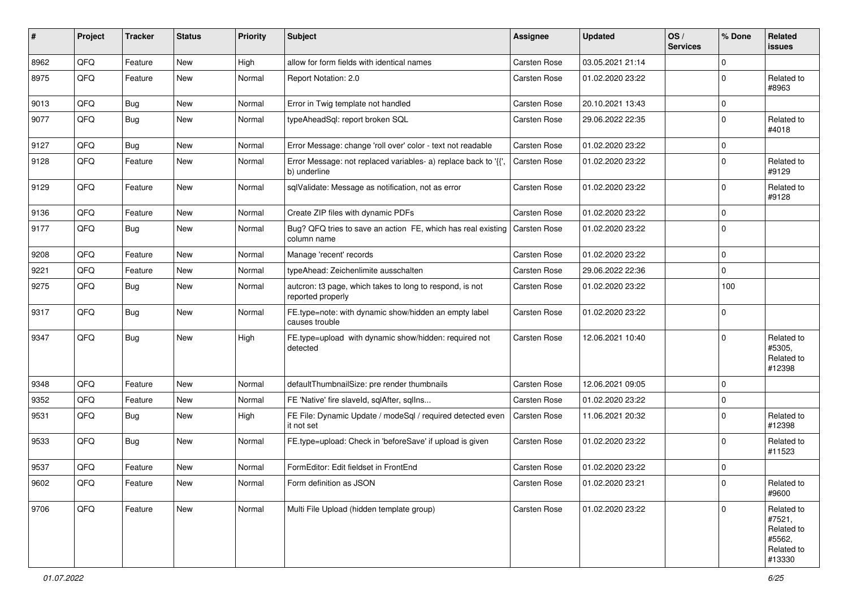| ∦    | Project | <b>Tracker</b> | <b>Status</b> | <b>Priority</b> | Subject                                                                                  | <b>Assignee</b>     | <b>Updated</b>   | OS/<br><b>Services</b> | % Done      | Related<br><b>issues</b>                                             |
|------|---------|----------------|---------------|-----------------|------------------------------------------------------------------------------------------|---------------------|------------------|------------------------|-------------|----------------------------------------------------------------------|
| 8962 | QFQ     | Feature        | New           | High            | allow for form fields with identical names                                               | <b>Carsten Rose</b> | 03.05.2021 21:14 |                        | $\mathbf 0$ |                                                                      |
| 8975 | QFQ     | Feature        | New           | Normal          | Report Notation: 2.0                                                                     | Carsten Rose        | 01.02.2020 23:22 |                        | $\Omega$    | Related to<br>#8963                                                  |
| 9013 | QFQ     | Bug            | <b>New</b>    | Normal          | Error in Twig template not handled                                                       | Carsten Rose        | 20.10.2021 13:43 |                        | $\mathbf 0$ |                                                                      |
| 9077 | QFQ     | Bug            | <b>New</b>    | Normal          | typeAheadSql: report broken SQL                                                          | Carsten Rose        | 29.06.2022 22:35 |                        | $\Omega$    | Related to<br>#4018                                                  |
| 9127 | QFQ     | Bug            | New           | Normal          | Error Message: change 'roll over' color - text not readable                              | Carsten Rose        | 01.02.2020 23:22 |                        | $\mathbf 0$ |                                                                      |
| 9128 | QFQ     | Feature        | New           | Normal          | Error Message: not replaced variables- a) replace back to '{{'<br>b) underline           | Carsten Rose        | 01.02.2020 23:22 |                        | $\Omega$    | Related to<br>#9129                                                  |
| 9129 | QFQ     | Feature        | New           | Normal          | sqlValidate: Message as notification, not as error                                       | Carsten Rose        | 01.02.2020 23:22 |                        | $\Omega$    | Related to<br>#9128                                                  |
| 9136 | QFQ     | Feature        | New           | Normal          | Create ZIP files with dynamic PDFs                                                       | <b>Carsten Rose</b> | 01.02.2020 23:22 |                        | $\mathbf 0$ |                                                                      |
| 9177 | QFQ     | <b>Bug</b>     | New           | Normal          | Bug? QFQ tries to save an action FE, which has real existing Carsten Rose<br>column name |                     | 01.02.2020 23:22 |                        | $\Omega$    |                                                                      |
| 9208 | QFQ     | Feature        | <b>New</b>    | Normal          | Manage 'recent' records                                                                  | <b>Carsten Rose</b> | 01.02.2020 23:22 |                        | $\mathbf 0$ |                                                                      |
| 9221 | QFQ     | Feature        | New           | Normal          | typeAhead: Zeichenlimite ausschalten                                                     | Carsten Rose        | 29.06.2022 22:36 |                        | $\mathbf 0$ |                                                                      |
| 9275 | QFQ     | <b>Bug</b>     | <b>New</b>    | Normal          | autcron: t3 page, which takes to long to respond, is not<br>reported properly            | Carsten Rose        | 01.02.2020 23:22 |                        | 100         |                                                                      |
| 9317 | QFQ     | Bug            | <b>New</b>    | Normal          | FE.type=note: with dynamic show/hidden an empty label<br>causes trouble                  | Carsten Rose        | 01.02.2020 23:22 |                        | $\mathbf 0$ |                                                                      |
| 9347 | QFQ     | <b>Bug</b>     | New           | High            | FE.type=upload with dynamic show/hidden: required not<br>detected                        | <b>Carsten Rose</b> | 12.06.2021 10:40 |                        | $\Omega$    | Related to<br>#5305,<br>Related to<br>#12398                         |
| 9348 | QFQ     | Feature        | New           | Normal          | defaultThumbnailSize: pre render thumbnails                                              | Carsten Rose        | 12.06.2021 09:05 |                        | $\mathbf 0$ |                                                                      |
| 9352 | QFQ     | Feature        | <b>New</b>    | Normal          | FE 'Native' fire slaveld, sqlAfter, sqlIns                                               | Carsten Rose        | 01.02.2020 23:22 |                        | $\mathbf 0$ |                                                                      |
| 9531 | QFQ     | Bug            | New           | High            | FE File: Dynamic Update / modeSql / required detected even<br>it not set                 | Carsten Rose        | 11.06.2021 20:32 |                        | $\Omega$    | Related to<br>#12398                                                 |
| 9533 | QFQ     | Bug            | <b>New</b>    | Normal          | FE.type=upload: Check in 'beforeSave' if upload is given                                 | Carsten Rose        | 01.02.2020 23:22 |                        | $\Omega$    | Related to<br>#11523                                                 |
| 9537 | QFQ     | Feature        | <b>New</b>    | Normal          | FormEditor: Edit fieldset in FrontEnd                                                    | Carsten Rose        | 01.02.2020 23:22 |                        | $\mathbf 0$ |                                                                      |
| 9602 | QFQ     | Feature        | <b>New</b>    | Normal          | Form definition as JSON                                                                  | Carsten Rose        | 01.02.2020 23:21 |                        | 0           | Related to<br>#9600                                                  |
| 9706 | QFO     | Feature        | New           | Normal          | Multi File Upload (hidden template group)                                                | Carsten Rose        | 01.02.2020 23:22 |                        | $\Omega$    | Related to<br>#7521,<br>Related to<br>#5562,<br>Related to<br>#13330 |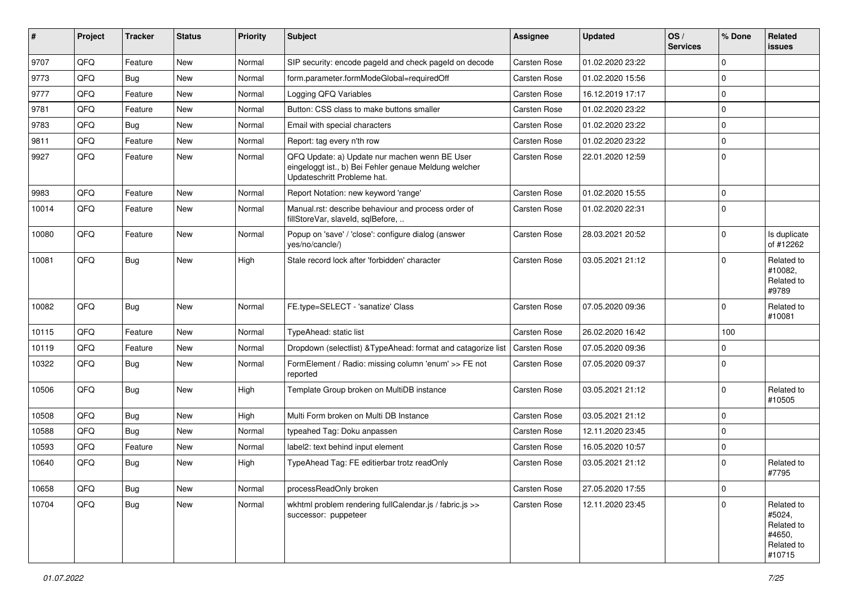| ∦     | Project | <b>Tracker</b> | <b>Status</b> | <b>Priority</b> | Subject                                                                                                                               | <b>Assignee</b>     | <b>Updated</b>   | OS/<br><b>Services</b> | % Done      | Related<br><b>issues</b>                                             |
|-------|---------|----------------|---------------|-----------------|---------------------------------------------------------------------------------------------------------------------------------------|---------------------|------------------|------------------------|-------------|----------------------------------------------------------------------|
| 9707  | QFQ     | Feature        | <b>New</b>    | Normal          | SIP security: encode pageld and check pageld on decode                                                                                | <b>Carsten Rose</b> | 01.02.2020 23:22 |                        | $\Omega$    |                                                                      |
| 9773  | QFQ     | <b>Bug</b>     | New           | Normal          | form.parameter.formModeGlobal=requiredOff                                                                                             | Carsten Rose        | 01.02.2020 15:56 |                        | 0           |                                                                      |
| 9777  | QFQ     | Feature        | New           | Normal          | Logging QFQ Variables                                                                                                                 | Carsten Rose        | 16.12.2019 17:17 |                        | $\Omega$    |                                                                      |
| 9781  | QFQ     | Feature        | <b>New</b>    | Normal          | Button: CSS class to make buttons smaller                                                                                             | Carsten Rose        | 01.02.2020 23:22 |                        | $\mathbf 0$ |                                                                      |
| 9783  | QFQ     | Bug            | New           | Normal          | Email with special characters                                                                                                         | Carsten Rose        | 01.02.2020 23:22 |                        | $\mathbf 0$ |                                                                      |
| 9811  | QFQ     | Feature        | New           | Normal          | Report: tag every n'th row                                                                                                            | Carsten Rose        | 01.02.2020 23:22 |                        | $\mathbf 0$ |                                                                      |
| 9927  | QFQ     | Feature        | New           | Normal          | QFQ Update: a) Update nur machen wenn BE User<br>eingeloggt ist., b) Bei Fehler genaue Meldung welcher<br>Updateschritt Probleme hat. | Carsten Rose        | 22.01.2020 12:59 |                        | $\Omega$    |                                                                      |
| 9983  | QFQ     | Feature        | New           | Normal          | Report Notation: new keyword 'range'                                                                                                  | Carsten Rose        | 01.02.2020 15:55 |                        | $\mathbf 0$ |                                                                      |
| 10014 | QFQ     | Feature        | New           | Normal          | Manual.rst: describe behaviour and process order of<br>fillStoreVar, slaveId, sqlBefore,                                              | Carsten Rose        | 01.02.2020 22:31 |                        | $\Omega$    |                                                                      |
| 10080 | QFQ     | Feature        | <b>New</b>    | Normal          | Popup on 'save' / 'close': configure dialog (answer<br>yes/no/cancle/)                                                                | Carsten Rose        | 28.03.2021 20:52 |                        | $\Omega$    | Is duplicate<br>of #12262                                            |
| 10081 | QFQ     | Bug            | New           | High            | Stale record lock after 'forbidden' character                                                                                         | Carsten Rose        | 03.05.2021 21:12 |                        | $\Omega$    | Related to<br>#10082.<br>Related to<br>#9789                         |
| 10082 | QFQ     | Bug            | <b>New</b>    | Normal          | FE.type=SELECT - 'sanatize' Class                                                                                                     | Carsten Rose        | 07.05.2020 09:36 |                        | $\Omega$    | Related to<br>#10081                                                 |
| 10115 | QFQ     | Feature        | <b>New</b>    | Normal          | TypeAhead: static list                                                                                                                | Carsten Rose        | 26.02.2020 16:42 |                        | 100         |                                                                      |
| 10119 | QFQ     | Feature        | New           | Normal          | Dropdown (selectlist) & Type Ahead: format and catagorize list                                                                        | Carsten Rose        | 07.05.2020 09:36 |                        | $\Omega$    |                                                                      |
| 10322 | QFQ     | Bug            | <b>New</b>    | Normal          | FormElement / Radio: missing column 'enum' >> FE not<br>reported                                                                      | Carsten Rose        | 07.05.2020 09:37 |                        | $\Omega$    |                                                                      |
| 10506 | QFQ     | Bug            | <b>New</b>    | High            | Template Group broken on MultiDB instance                                                                                             | Carsten Rose        | 03.05.2021 21:12 |                        | $\mathbf 0$ | Related to<br>#10505                                                 |
| 10508 | QFQ     | Bug            | New           | High            | Multi Form broken on Multi DB Instance                                                                                                | Carsten Rose        | 03.05.2021 21:12 |                        | $\mathbf 0$ |                                                                      |
| 10588 | QFQ     | Bug            | New           | Normal          | typeahed Tag: Doku anpassen                                                                                                           | Carsten Rose        | 12.11.2020 23:45 |                        | $\Omega$    |                                                                      |
| 10593 | QFQ     | Feature        | <b>New</b>    | Normal          | label2: text behind input element                                                                                                     | Carsten Rose        | 16.05.2020 10:57 |                        | $\mathbf 0$ |                                                                      |
| 10640 | QFQ     | Bug            | New           | High            | TypeAhead Tag: FE editierbar trotz readOnly                                                                                           | Carsten Rose        | 03.05.2021 21:12 |                        | $\Omega$    | Related to<br>#7795                                                  |
| 10658 | QFO     | Bug            | New           | Normal          | processReadOnly broken                                                                                                                | Carsten Rose        | 27.05.2020 17:55 |                        | $\mathbf 0$ |                                                                      |
| 10704 | QFQ     | <b>Bug</b>     | New           | Normal          | wkhtml problem rendering fullCalendar.js / fabric.js >><br>successor: puppeteer                                                       | Carsten Rose        | 12.11.2020 23:45 |                        | $\mathbf 0$ | Related to<br>#5024,<br>Related to<br>#4650,<br>Related to<br>#10715 |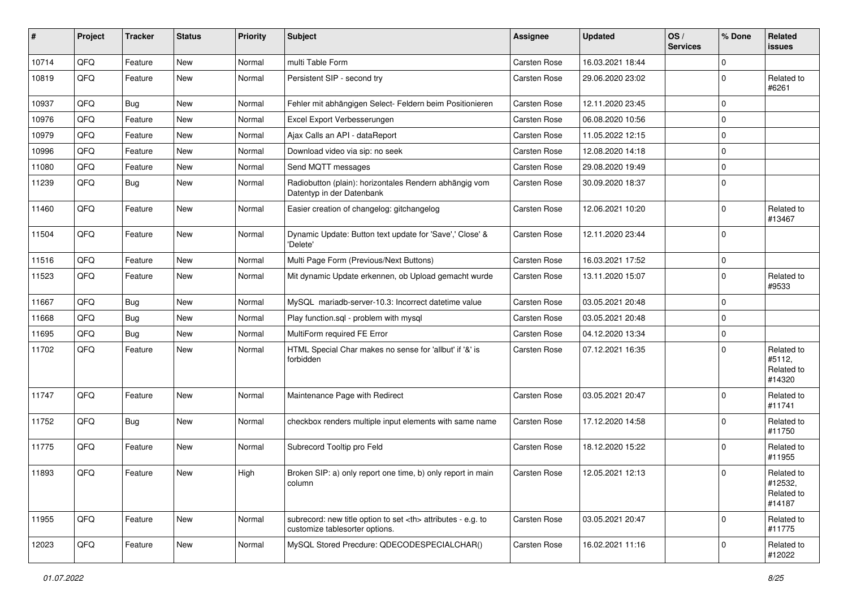| ∦     | Project | <b>Tracker</b> | <b>Status</b> | <b>Priority</b> | <b>Subject</b>                                                                                       | <b>Assignee</b>                                        | <b>Updated</b>   | OS/<br><b>Services</b> | % Done      | Related<br><b>issues</b>                      |                      |
|-------|---------|----------------|---------------|-----------------|------------------------------------------------------------------------------------------------------|--------------------------------------------------------|------------------|------------------------|-------------|-----------------------------------------------|----------------------|
| 10714 | QFQ     | Feature        | <b>New</b>    | Normal          | multi Table Form                                                                                     | <b>Carsten Rose</b>                                    | 16.03.2021 18:44 |                        | $\Omega$    |                                               |                      |
| 10819 | QFQ     | Feature        | New           | Normal          | Persistent SIP - second try                                                                          | Carsten Rose                                           | 29.06.2020 23:02 |                        | $\Omega$    | Related to<br>#6261                           |                      |
| 10937 | QFQ     | Bug            | New           | Normal          | Fehler mit abhängigen Select- Feldern beim Positionieren                                             | <b>Carsten Rose</b>                                    | 12.11.2020 23:45 |                        | $\mathbf 0$ |                                               |                      |
| 10976 | QFQ     | Feature        | New           | Normal          | Excel Export Verbesserungen                                                                          | Carsten Rose                                           | 06.08.2020 10:56 |                        | 0           |                                               |                      |
| 10979 | QFQ     | Feature        | New           | Normal          | Ajax Calls an API - dataReport                                                                       | Carsten Rose                                           | 11.05.2022 12:15 |                        | $\mathbf 0$ |                                               |                      |
| 10996 | QFQ     | Feature        | <b>New</b>    | Normal          | Download video via sip: no seek                                                                      | Carsten Rose                                           | 12.08.2020 14:18 |                        | $\mathbf 0$ |                                               |                      |
| 11080 | QFQ     | Feature        | New           | Normal          | Send MQTT messages                                                                                   | Carsten Rose                                           | 29.08.2020 19:49 |                        | $\Omega$    |                                               |                      |
| 11239 | QFQ     | Bug            | <b>New</b>    | Normal          | Radiobutton (plain): horizontales Rendern abhängig vom<br>Datentyp in der Datenbank                  | Carsten Rose                                           | 30.09.2020 18:37 |                        | $\Omega$    |                                               |                      |
| 11460 | QFQ     | Feature        | <b>New</b>    | Normal          | Easier creation of changelog: gitchangelog                                                           | Carsten Rose                                           | 12.06.2021 10:20 |                        | $\Omega$    | Related to<br>#13467                          |                      |
| 11504 | QFQ     | Feature        | New           | Normal          | Dynamic Update: Button text update for 'Save',' Close' &<br>'Delete'                                 | Carsten Rose                                           | 12.11.2020 23:44 |                        | $\Omega$    |                                               |                      |
| 11516 | QFQ     | Feature        | New           | Normal          | Multi Page Form (Previous/Next Buttons)                                                              | <b>Carsten Rose</b>                                    | 16.03.2021 17:52 |                        | $\pmb{0}$   |                                               |                      |
| 11523 | QFQ     | Feature        | New           | Normal          | Mit dynamic Update erkennen, ob Upload gemacht wurde                                                 | Carsten Rose                                           | 13.11.2020 15:07 |                        | $\Omega$    | Related to<br>#9533                           |                      |
| 11667 | QFQ     | Bug            | New           | Normal          | MySQL mariadb-server-10.3: Incorrect datetime value                                                  | Carsten Rose                                           | 03.05.2021 20:48 |                        | $\mathbf 0$ |                                               |                      |
| 11668 | QFQ     | Bug            | <b>New</b>    | Normal          | Play function.sgl - problem with mysgl                                                               | Carsten Rose                                           | 03.05.2021 20:48 |                        | $\Omega$    |                                               |                      |
| 11695 | QFQ     | Bug            | <b>New</b>    | Normal          | MultiForm required FE Error                                                                          | Carsten Rose                                           | 04.12.2020 13:34 |                        | $\Omega$    |                                               |                      |
| 11702 | QFQ     | Feature        | <b>New</b>    | Normal          | HTML Special Char makes no sense for 'allbut' if '&' is<br>forbidden                                 | Carsten Rose                                           | 07.12.2021 16:35 |                        | $\Omega$    | Related to<br>#5112,<br>Related to<br>#14320  |                      |
| 11747 | QFQ     | Feature        | New           | Normal          | Maintenance Page with Redirect                                                                       | Carsten Rose                                           | 03.05.2021 20:47 |                        | $\mathbf 0$ | Related to<br>#11741                          |                      |
| 11752 | QFQ     | Bug            | New           | Normal          | checkbox renders multiple input elements with same name                                              | Carsten Rose                                           | 17.12.2020 14:58 |                        | $\Omega$    | Related to<br>#11750                          |                      |
| 11775 | QFQ     | Feature        | <b>New</b>    | Normal          | Subrecord Tooltip pro Feld                                                                           | Carsten Rose                                           | 18.12.2020 15:22 |                        | $\Omega$    | Related to<br>#11955                          |                      |
| 11893 | QFQ     | Feature        | New           | High            | Broken SIP: a) only report one time, b) only report in main<br>column                                | Carsten Rose                                           | 12.05.2021 12:13 |                        | $\mathbf 0$ | Related to<br>#12532,<br>Related to<br>#14187 |                      |
| 11955 | QFQ     | Feature        | New           | Normal          | subrecord: new title option to set <th> attributes - e.g. to<br/>customize tablesorter options.</th> | attributes - e.g. to<br>customize tablesorter options. | Carsten Rose     | 03.05.2021 20:47       |             | $\mathbf 0$                                   | Related to<br>#11775 |
| 12023 | QFQ     | Feature        | New           | Normal          | MySQL Stored Precdure: QDECODESPECIALCHAR()                                                          | Carsten Rose                                           | 16.02.2021 11:16 |                        | $\mathbf 0$ | Related to<br>#12022                          |                      |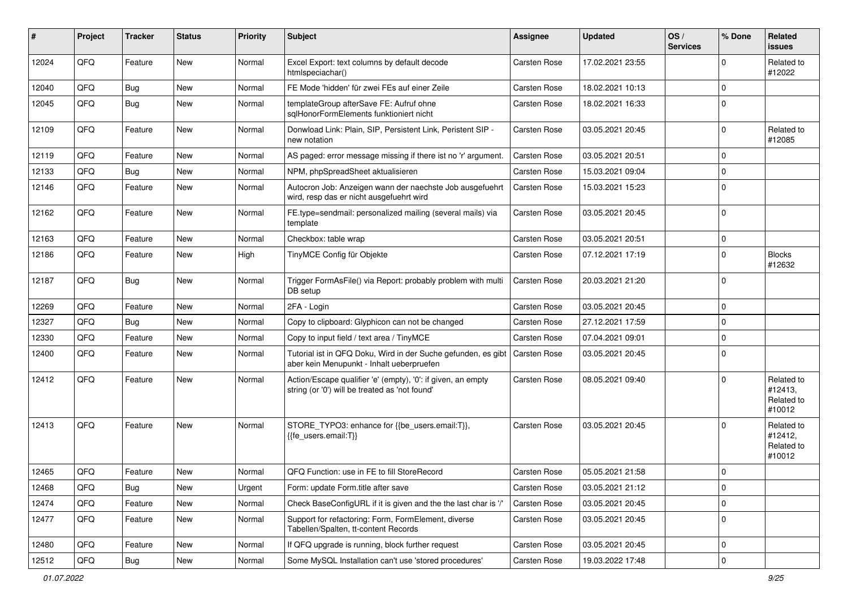| #     | Project | <b>Tracker</b> | <b>Status</b> | <b>Priority</b> | <b>Subject</b>                                                                                                 | Assignee            | <b>Updated</b>   | OS/<br><b>Services</b> | % Done      | Related<br><b>issues</b>                      |
|-------|---------|----------------|---------------|-----------------|----------------------------------------------------------------------------------------------------------------|---------------------|------------------|------------------------|-------------|-----------------------------------------------|
| 12024 | QFQ     | Feature        | <b>New</b>    | Normal          | Excel Export: text columns by default decode<br>htmlspeciachar()                                               | Carsten Rose        | 17.02.2021 23:55 |                        | $\Omega$    | Related to<br>#12022                          |
| 12040 | QFQ     | Bug            | New           | Normal          | FE Mode 'hidden' für zwei FEs auf einer Zeile                                                                  | Carsten Rose        | 18.02.2021 10:13 |                        | $\Omega$    |                                               |
| 12045 | QFQ     | Bug            | New           | Normal          | templateGroup afterSave FE: Aufruf ohne<br>sqlHonorFormElements funktioniert nicht                             | Carsten Rose        | 18.02.2021 16:33 |                        | $\Omega$    |                                               |
| 12109 | QFQ     | Feature        | New           | Normal          | Donwload Link: Plain, SIP, Persistent Link, Peristent SIP -<br>new notation                                    | Carsten Rose        | 03.05.2021 20:45 |                        | $\mathbf 0$ | Related to<br>#12085                          |
| 12119 | QFQ     | Feature        | New           | Normal          | AS paged: error message missing if there ist no 'r' argument.                                                  | Carsten Rose        | 03.05.2021 20:51 |                        | $\Omega$    |                                               |
| 12133 | QFQ     | Bug            | <b>New</b>    | Normal          | NPM, phpSpreadSheet aktualisieren                                                                              | Carsten Rose        | 15.03.2021 09:04 |                        | $\mathbf 0$ |                                               |
| 12146 | QFQ     | Feature        | New           | Normal          | Autocron Job: Anzeigen wann der naechste Job ausgefuehrt<br>wird, resp das er nicht ausgefuehrt wird           | Carsten Rose        | 15.03.2021 15:23 |                        | $\mathbf 0$ |                                               |
| 12162 | QFQ     | Feature        | New           | Normal          | FE.type=sendmail: personalized mailing (several mails) via<br>template                                         | Carsten Rose        | 03.05.2021 20:45 |                        | $\Omega$    |                                               |
| 12163 | QFQ     | Feature        | New           | Normal          | Checkbox: table wrap                                                                                           | Carsten Rose        | 03.05.2021 20:51 |                        | $\mathbf 0$ |                                               |
| 12186 | QFQ     | Feature        | New           | High            | TinyMCE Config für Objekte                                                                                     | Carsten Rose        | 07.12.2021 17:19 |                        | $\Omega$    | <b>Blocks</b><br>#12632                       |
| 12187 | QFQ     | <b>Bug</b>     | New           | Normal          | Trigger FormAsFile() via Report: probably problem with multi<br>DB setup                                       | Carsten Rose        | 20.03.2021 21:20 |                        | $\mathbf 0$ |                                               |
| 12269 | QFQ     | Feature        | New           | Normal          | 2FA - Login                                                                                                    | Carsten Rose        | 03.05.2021 20:45 |                        | 0           |                                               |
| 12327 | QFQ     | Bug            | New           | Normal          | Copy to clipboard: Glyphicon can not be changed                                                                | Carsten Rose        | 27.12.2021 17:59 |                        | $\mathbf 0$ |                                               |
| 12330 | QFQ     | Feature        | New           | Normal          | Copy to input field / text area / TinyMCE                                                                      | Carsten Rose        | 07.04.2021 09:01 |                        | $\mathbf 0$ |                                               |
| 12400 | QFQ     | Feature        | <b>New</b>    | Normal          | Tutorial ist in QFQ Doku, Wird in der Suche gefunden, es gibt<br>aber kein Menupunkt - Inhalt ueberpruefen     | Carsten Rose        | 03.05.2021 20:45 |                        | $\mathbf 0$ |                                               |
| 12412 | QFQ     | Feature        | New           | Normal          | Action/Escape qualifier 'e' (empty), '0': if given, an empty<br>string (or '0') will be treated as 'not found' | Carsten Rose        | 08.05.2021 09:40 |                        | $\Omega$    | Related to<br>#12413,<br>Related to<br>#10012 |
| 12413 | QFQ     | Feature        | New           | Normal          | STORE_TYPO3: enhance for {{be_users.email:T}},<br>$\{$ fe users.email:T}}                                      | Carsten Rose        | 03.05.2021 20:45 |                        | $\Omega$    | Related to<br>#12412,<br>Related to<br>#10012 |
| 12465 | QFQ     | Feature        | <b>New</b>    | Normal          | QFQ Function: use in FE to fill StoreRecord                                                                    | <b>Carsten Rose</b> | 05.05.2021 21:58 |                        | 0           |                                               |
| 12468 | QFQ     | <b>Bug</b>     | New           | Urgent          | Form: update Form.title after save                                                                             | Carsten Rose        | 03.05.2021 21:12 |                        | $\mathbf 0$ |                                               |
| 12474 | QFQ     | Feature        | New           | Normal          | Check BaseConfigURL if it is given and the the last char is '/'                                                | Carsten Rose        | 03.05.2021 20:45 |                        | 0           |                                               |
| 12477 | QFQ     | Feature        | New           | Normal          | Support for refactoring: Form, FormElement, diverse<br>Tabellen/Spalten, tt-content Records                    | Carsten Rose        | 03.05.2021 20:45 |                        | 0           |                                               |
| 12480 | QFQ     | Feature        | New           | Normal          | If QFQ upgrade is running, block further request                                                               | Carsten Rose        | 03.05.2021 20:45 |                        | 0           |                                               |
| 12512 | QFQ     | Bug            | New           | Normal          | Some MySQL Installation can't use 'stored procedures'                                                          | Carsten Rose        | 19.03.2022 17:48 |                        | 0           |                                               |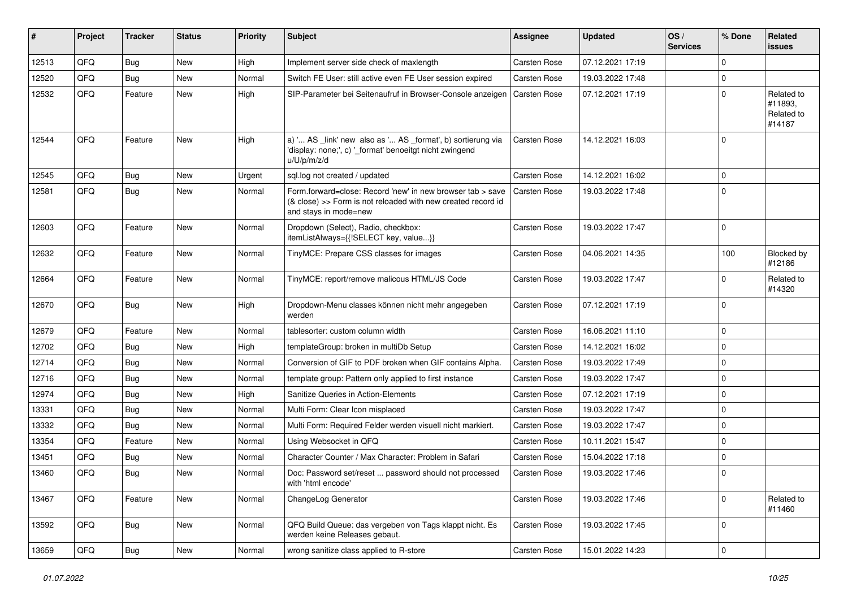| #     | Project | <b>Tracker</b> | <b>Status</b> | <b>Priority</b> | <b>Subject</b>                                                                                                                                      | Assignee            | <b>Updated</b>   | OS/<br><b>Services</b> | % Done              | Related<br><b>issues</b>                      |
|-------|---------|----------------|---------------|-----------------|-----------------------------------------------------------------------------------------------------------------------------------------------------|---------------------|------------------|------------------------|---------------------|-----------------------------------------------|
| 12513 | QFQ     | Bug            | <b>New</b>    | High            | Implement server side check of maxlength                                                                                                            | Carsten Rose        | 07.12.2021 17:19 |                        | $\mathbf 0$         |                                               |
| 12520 | QFQ     | Bug            | <b>New</b>    | Normal          | Switch FE User: still active even FE User session expired                                                                                           | Carsten Rose        | 19.03.2022 17:48 |                        | $\mathbf 0$         |                                               |
| 12532 | QFQ     | Feature        | <b>New</b>    | High            | SIP-Parameter bei Seitenaufruf in Browser-Console anzeigen                                                                                          | <b>Carsten Rose</b> | 07.12.2021 17:19 |                        | $\mathbf 0$         | Related to<br>#11893,<br>Related to<br>#14187 |
| 12544 | QFQ     | Feature        | <b>New</b>    | High            | a) ' AS _link' new also as ' AS _format', b) sortierung via<br>'display: none;', c) ' format' benoeitgt nicht zwingend<br>u/U/p/m/z/d               | Carsten Rose        | 14.12.2021 16:03 |                        | $\mathbf 0$         |                                               |
| 12545 | QFQ     | Bug            | <b>New</b>    | Urgent          | sql.log not created / updated                                                                                                                       | Carsten Rose        | 14.12.2021 16:02 |                        | $\mathbf 0$         |                                               |
| 12581 | QFQ     | <b>Bug</b>     | New           | Normal          | Form.forward=close: Record 'new' in new browser tab > save<br>(& close) >> Form is not reloaded with new created record id<br>and stays in mode=new | Carsten Rose        | 19.03.2022 17:48 |                        | $\mathbf 0$         |                                               |
| 12603 | QFQ     | Feature        | <b>New</b>    | Normal          | Dropdown (Select), Radio, checkbox:<br>itemListAlways={{!SELECT key, value}}                                                                        | Carsten Rose        | 19.03.2022 17:47 |                        | $\mathbf 0$         |                                               |
| 12632 | QFQ     | Feature        | New           | Normal          | TinyMCE: Prepare CSS classes for images                                                                                                             | Carsten Rose        | 04.06.2021 14:35 |                        | 100                 | Blocked by<br>#12186                          |
| 12664 | QFQ     | Feature        | <b>New</b>    | Normal          | TinyMCE: report/remove malicous HTML/JS Code                                                                                                        | Carsten Rose        | 19.03.2022 17:47 |                        | $\mathbf 0$         | Related to<br>#14320                          |
| 12670 | QFQ     | Bug            | <b>New</b>    | High            | Dropdown-Menu classes können nicht mehr angegeben<br>werden                                                                                         | Carsten Rose        | 07.12.2021 17:19 |                        | $\mathbf 0$         |                                               |
| 12679 | QFQ     | Feature        | <b>New</b>    | Normal          | tablesorter: custom column width                                                                                                                    | Carsten Rose        | 16.06.2021 11:10 |                        | $\mathbf 0$         |                                               |
| 12702 | QFQ     | Bug            | <b>New</b>    | High            | templateGroup: broken in multiDb Setup                                                                                                              | Carsten Rose        | 14.12.2021 16:02 |                        | $\mathbf 0$         |                                               |
| 12714 | QFQ     | Bug            | <b>New</b>    | Normal          | Conversion of GIF to PDF broken when GIF contains Alpha.                                                                                            | Carsten Rose        | 19.03.2022 17:49 |                        | $\mathbf 0$         |                                               |
| 12716 | QFQ     | Bug            | <b>New</b>    | Normal          | template group: Pattern only applied to first instance                                                                                              | Carsten Rose        | 19.03.2022 17:47 |                        | $\mathbf 0$         |                                               |
| 12974 | QFQ     | Bug            | <b>New</b>    | High            | Sanitize Queries in Action-Elements                                                                                                                 | Carsten Rose        | 07.12.2021 17:19 |                        | $\mathbf 0$         |                                               |
| 13331 | QFQ     | Bug            | New           | Normal          | Multi Form: Clear Icon misplaced                                                                                                                    | Carsten Rose        | 19.03.2022 17:47 |                        | $\mathbf 0$         |                                               |
| 13332 | QFQ     | Bug            | <b>New</b>    | Normal          | Multi Form: Required Felder werden visuell nicht markiert.                                                                                          | Carsten Rose        | 19.03.2022 17:47 |                        | $\mathbf 0$         |                                               |
| 13354 | QFQ     | Feature        | New           | Normal          | Using Websocket in QFQ                                                                                                                              | Carsten Rose        | 10.11.2021 15:47 |                        | $\mathbf 0$         |                                               |
| 13451 | QFQ     | <b>Bug</b>     | <b>New</b>    | Normal          | Character Counter / Max Character: Problem in Safari                                                                                                | Carsten Rose        | 15.04.2022 17:18 |                        | $\mathbf 0$         |                                               |
| 13460 | QFQ     | Bug            | <b>New</b>    | Normal          | Doc: Password set/reset  password should not processed<br>with 'html encode'                                                                        | Carsten Rose        | 19.03.2022 17:46 |                        | $\mathbf 0$         |                                               |
| 13467 | QFQ     | Feature        | New           | Normal          | ChangeLog Generator                                                                                                                                 | Carsten Rose        | 19.03.2022 17:46 |                        | $\mathbf 0$         | Related to<br>#11460                          |
| 13592 | QFQ     | <b>Bug</b>     | New           | Normal          | QFQ Build Queue: das vergeben von Tags klappt nicht. Es<br>werden keine Releases gebaut.                                                            | Carsten Rose        | 19.03.2022 17:45 |                        | $\mathbf 0$         |                                               |
| 13659 | QFQ     | <b>Bug</b>     | New           | Normal          | wrong sanitize class applied to R-store                                                                                                             | Carsten Rose        | 15.01.2022 14:23 |                        | $\mathsf{O}\xspace$ |                                               |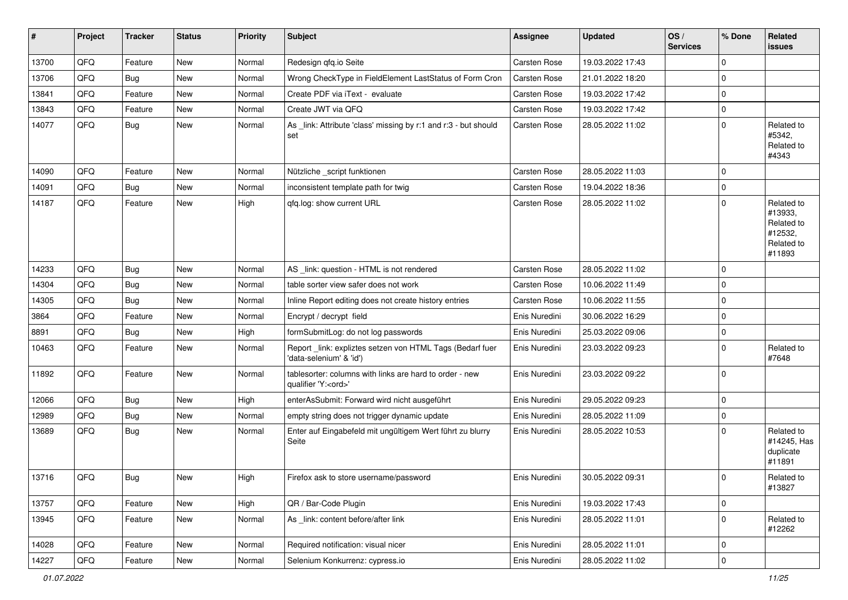| #     | Project        | <b>Tracker</b> | <b>Status</b> | <b>Priority</b> | <b>Subject</b>                                                                        | <b>Assignee</b>     | <b>Updated</b>   | OS/<br><b>Services</b> | % Done      | Related<br><b>issues</b>                                               |
|-------|----------------|----------------|---------------|-----------------|---------------------------------------------------------------------------------------|---------------------|------------------|------------------------|-------------|------------------------------------------------------------------------|
| 13700 | QFQ            | Feature        | <b>New</b>    | Normal          | Redesign qfq.io Seite                                                                 | <b>Carsten Rose</b> | 19.03.2022 17:43 |                        | $\mathbf 0$ |                                                                        |
| 13706 | QFQ            | <b>Bug</b>     | New           | Normal          | Wrong CheckType in FieldElement LastStatus of Form Cron                               | <b>Carsten Rose</b> | 21.01.2022 18:20 |                        | $\mathbf 0$ |                                                                        |
| 13841 | QFQ            | Feature        | New           | Normal          | Create PDF via iText - evaluate                                                       | Carsten Rose        | 19.03.2022 17:42 |                        | $\mathbf 0$ |                                                                        |
| 13843 | QFQ            | Feature        | <b>New</b>    | Normal          | Create JWT via QFQ                                                                    | Carsten Rose        | 19.03.2022 17:42 |                        | $\mathbf 0$ |                                                                        |
| 14077 | QFQ            | Bug            | New           | Normal          | As _link: Attribute 'class' missing by r:1 and r:3 - but should<br>set                | Carsten Rose        | 28.05.2022 11:02 |                        | $\mathbf 0$ | Related to<br>#5342,<br>Related to<br>#4343                            |
| 14090 | QFQ            | Feature        | New           | Normal          | Nützliche _script funktionen                                                          | <b>Carsten Rose</b> | 28.05.2022 11:03 |                        | $\mathbf 0$ |                                                                        |
| 14091 | QFQ            | <b>Bug</b>     | New           | Normal          | inconsistent template path for twig                                                   | <b>Carsten Rose</b> | 19.04.2022 18:36 |                        | 0           |                                                                        |
| 14187 | QFQ            | Feature        | New           | High            | qfq.log: show current URL                                                             | <b>Carsten Rose</b> | 28.05.2022 11:02 |                        | $\mathbf 0$ | Related to<br>#13933,<br>Related to<br>#12532,<br>Related to<br>#11893 |
| 14233 | QFQ            | <b>Bug</b>     | New           | Normal          | AS_link: question - HTML is not rendered                                              | <b>Carsten Rose</b> | 28.05.2022 11:02 |                        | $\mathbf 0$ |                                                                        |
| 14304 | QFQ            | Bug            | New           | Normal          | table sorter view safer does not work                                                 | <b>Carsten Rose</b> | 10.06.2022 11:49 |                        | $\mathbf 0$ |                                                                        |
| 14305 | QFQ            | <b>Bug</b>     | New           | Normal          | Inline Report editing does not create history entries                                 | Carsten Rose        | 10.06.2022 11:55 |                        | $\pmb{0}$   |                                                                        |
| 3864  | QFQ            | Feature        | New           | Normal          | Encrypt / decrypt field                                                               | Enis Nuredini       | 30.06.2022 16:29 |                        | $\mathbf 0$ |                                                                        |
| 8891  | QFQ            | <b>Bug</b>     | New           | High            | formSubmitLog: do not log passwords                                                   | Enis Nuredini       | 25.03.2022 09:06 |                        | 0           |                                                                        |
| 10463 | QFQ            | Feature        | New           | Normal          | Report_link: expliztes setzen von HTML Tags (Bedarf fuer<br>'data-selenium' & 'id')   | Enis Nuredini       | 23.03.2022 09:23 |                        | $\mathbf 0$ | Related to<br>#7648                                                    |
| 11892 | QFQ            | Feature        | <b>New</b>    | Normal          | tablesorter: columns with links are hard to order - new<br>qualifier 'Y: <ord>'</ord> | Enis Nuredini       | 23.03.2022 09:22 |                        | $\mathbf 0$ |                                                                        |
| 12066 | QFQ            | Bug            | <b>New</b>    | High            | enterAsSubmit: Forward wird nicht ausgeführt                                          | Enis Nuredini       | 29.05.2022 09:23 |                        | $\mathbf 0$ |                                                                        |
| 12989 | QFQ            | Bug            | <b>New</b>    | Normal          | empty string does not trigger dynamic update                                          | Enis Nuredini       | 28.05.2022 11:09 |                        | $\pmb{0}$   |                                                                        |
| 13689 | QFQ            | <b>Bug</b>     | New           | Normal          | Enter auf Eingabefeld mit ungültigem Wert führt zu blurry<br>Seite                    | Enis Nuredini       | 28.05.2022 10:53 |                        | $\Omega$    | Related to<br>#14245, Has<br>duplicate<br>#11891                       |
| 13716 | QFQ            | Bug            | New           | High            | Firefox ask to store username/password                                                | Enis Nuredini       | 30.05.2022 09:31 |                        | $\mathbf 0$ | Related to<br>#13827                                                   |
| 13757 | QFQ            | Feature        | New           | High            | QR / Bar-Code Plugin                                                                  | Enis Nuredini       | 19.03.2022 17:43 |                        | 0           |                                                                        |
| 13945 | QFQ            | Feature        | New           | Normal          | As _link: content before/after link                                                   | Enis Nuredini       | 28.05.2022 11:01 |                        | $\pmb{0}$   | Related to<br>#12262                                                   |
| 14028 | QFQ            | Feature        | New           | Normal          | Required notification: visual nicer                                                   | Enis Nuredini       | 28.05.2022 11:01 |                        | 0           |                                                                        |
| 14227 | $\mathsf{QFQ}$ | Feature        | New           | Normal          | Selenium Konkurrenz: cypress.io                                                       | Enis Nuredini       | 28.05.2022 11:02 |                        | $\pmb{0}$   |                                                                        |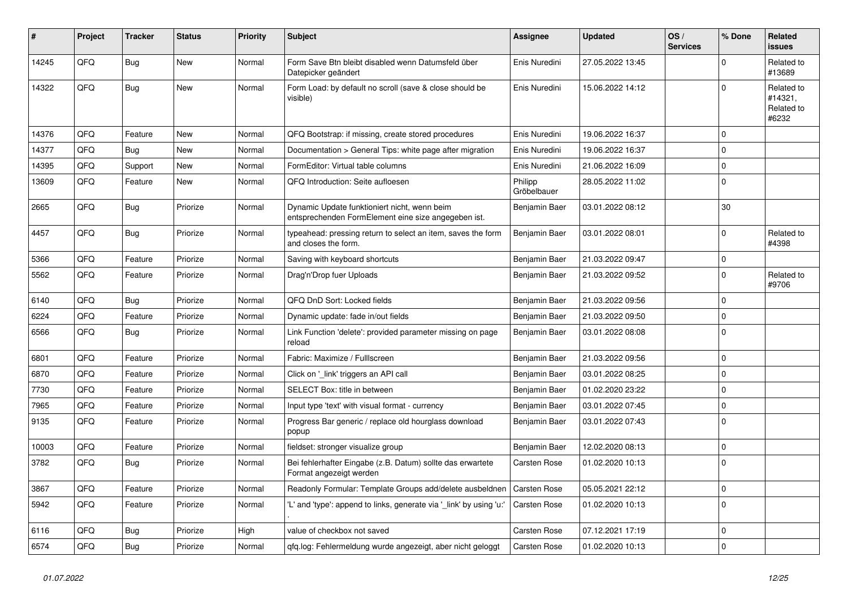| #     | Project | <b>Tracker</b> | <b>Status</b> | <b>Priority</b> | <b>Subject</b>                                                                                      | Assignee               | <b>Updated</b>   | OS/<br><b>Services</b> | % Done              | Related<br><b>issues</b>                     |
|-------|---------|----------------|---------------|-----------------|-----------------------------------------------------------------------------------------------------|------------------------|------------------|------------------------|---------------------|----------------------------------------------|
| 14245 | QFQ     | <b>Bug</b>     | New           | Normal          | Form Save Btn bleibt disabled wenn Datumsfeld über<br>Datepicker geändert                           | Enis Nuredini          | 27.05.2022 13:45 |                        | $\Omega$            | Related to<br>#13689                         |
| 14322 | QFQ     | Bug            | New           | Normal          | Form Load: by default no scroll (save & close should be<br>visible)                                 | Enis Nuredini          | 15.06.2022 14:12 |                        | $\mathbf 0$         | Related to<br>#14321,<br>Related to<br>#6232 |
| 14376 | QFQ     | Feature        | <b>New</b>    | Normal          | QFQ Bootstrap: if missing, create stored procedures                                                 | Enis Nuredini          | 19.06.2022 16:37 |                        | $\Omega$            |                                              |
| 14377 | QFQ     | <b>Bug</b>     | <b>New</b>    | Normal          | Documentation > General Tips: white page after migration                                            | Enis Nuredini          | 19.06.2022 16:37 |                        | $\mathbf 0$         |                                              |
| 14395 | QFQ     | Support        | New           | Normal          | FormEditor: Virtual table columns                                                                   | Enis Nuredini          | 21.06.2022 16:09 |                        | $\mathbf 0$         |                                              |
| 13609 | QFQ     | Feature        | New           | Normal          | QFQ Introduction: Seite aufloesen                                                                   | Philipp<br>Gröbelbauer | 28.05.2022 11:02 |                        | $\pmb{0}$           |                                              |
| 2665  | QFQ     | Bug            | Priorize      | Normal          | Dynamic Update funktioniert nicht, wenn beim<br>entsprechenden FormElement eine size angegeben ist. | Benjamin Baer          | 03.01.2022 08:12 |                        | 30                  |                                              |
| 4457  | QFQ     | <b>Bug</b>     | Priorize      | Normal          | typeahead: pressing return to select an item, saves the form<br>and closes the form.                | Benjamin Baer          | 03.01.2022 08:01 |                        | $\Omega$            | Related to<br>#4398                          |
| 5366  | QFQ     | Feature        | Priorize      | Normal          | Saving with keyboard shortcuts                                                                      | Benjamin Baer          | 21.03.2022 09:47 |                        | $\mathsf{O}\xspace$ |                                              |
| 5562  | QFQ     | Feature        | Priorize      | Normal          | Drag'n'Drop fuer Uploads                                                                            | Benjamin Baer          | 21.03.2022 09:52 |                        | $\Omega$            | Related to<br>#9706                          |
| 6140  | QFQ     | <b>Bug</b>     | Priorize      | Normal          | QFQ DnD Sort: Locked fields                                                                         | Benjamin Baer          | 21.03.2022 09:56 |                        | $\mathbf 0$         |                                              |
| 6224  | QFQ     | Feature        | Priorize      | Normal          | Dynamic update: fade in/out fields                                                                  | Benjamin Baer          | 21.03.2022 09:50 |                        | $\mathbf 0$         |                                              |
| 6566  | QFQ     | Bug            | Priorize      | Normal          | Link Function 'delete': provided parameter missing on page<br>reload                                | Benjamin Baer          | 03.01.2022 08:08 |                        | $\mathbf 0$         |                                              |
| 6801  | QFQ     | Feature        | Priorize      | Normal          | Fabric: Maximize / FullIscreen                                                                      | Benjamin Baer          | 21.03.2022 09:56 |                        | $\Omega$            |                                              |
| 6870  | QFQ     | Feature        | Priorize      | Normal          | Click on '_link' triggers an API call                                                               | Benjamin Baer          | 03.01.2022 08:25 |                        | $\Omega$            |                                              |
| 7730  | QFQ     | Feature        | Priorize      | Normal          | SELECT Box: title in between                                                                        | Benjamin Baer          | 01.02.2020 23:22 |                        | $\mathbf 0$         |                                              |
| 7965  | QFQ     | Feature        | Priorize      | Normal          | Input type 'text' with visual format - currency                                                     | Benjamin Baer          | 03.01.2022 07:45 |                        | $\mathsf 0$         |                                              |
| 9135  | QFQ     | Feature        | Priorize      | Normal          | Progress Bar generic / replace old hourglass download<br>popup                                      | Benjamin Baer          | 03.01.2022 07:43 |                        | $\mathbf 0$         |                                              |
| 10003 | QFQ     | Feature        | Priorize      | Normal          | fieldset: stronger visualize group                                                                  | Benjamin Baer          | 12.02.2020 08:13 |                        | $\mathsf{O}\xspace$ |                                              |
| 3782  | QFQ     | <b>Bug</b>     | Priorize      | Normal          | Bei fehlerhafter Eingabe (z.B. Datum) sollte das erwartete<br>Format angezeigt werden               | <b>Carsten Rose</b>    | 01.02.2020 10:13 |                        | $\mathbf 0$         |                                              |
| 3867  | QFQ     | Feature        | Priorize      | Normal          | Readonly Formular: Template Groups add/delete ausbeldnen                                            | <b>Carsten Rose</b>    | 05.05.2021 22:12 |                        | $\mathbf 0$         |                                              |
| 5942  | QFQ     | Feature        | Priorize      | Normal          | 'L' and 'type': append to links, generate via 'link' by using 'u:'                                  | Carsten Rose           | 01.02.2020 10:13 |                        | $\mathbf 0$         |                                              |
| 6116  | QFQ     | Bug            | Priorize      | High            | value of checkbox not saved                                                                         | Carsten Rose           | 07.12.2021 17:19 |                        | $\mathbf 0$         |                                              |
| 6574  | QFQ     | Bug            | Priorize      | Normal          | qfq.log: Fehlermeldung wurde angezeigt, aber nicht geloggt                                          | <b>Carsten Rose</b>    | 01.02.2020 10:13 |                        | $\pmb{0}$           |                                              |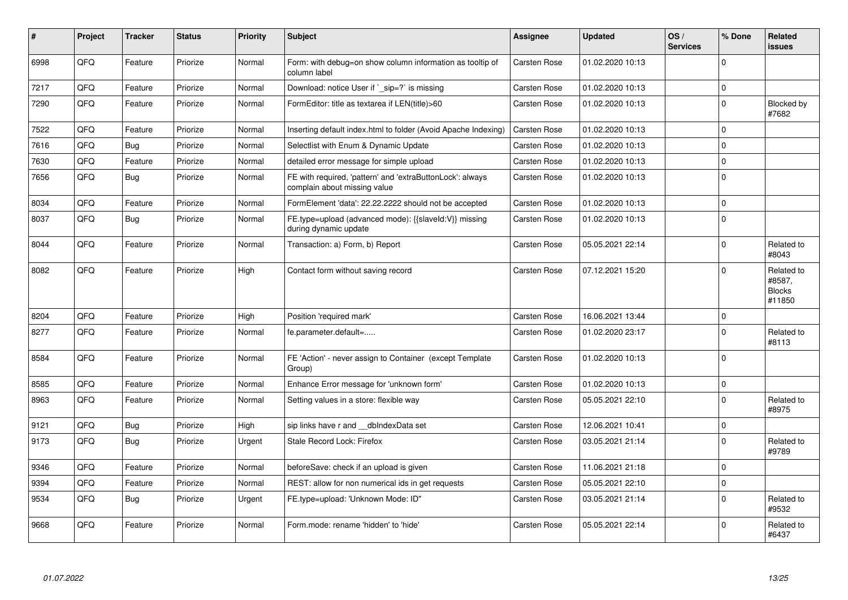| $\sharp$ | Project | <b>Tracker</b> | <b>Status</b> | <b>Priority</b> | <b>Subject</b>                                                                            | <b>Assignee</b> | <b>Updated</b>   | OS/<br><b>Services</b> | % Done      | Related<br><b>issues</b>                        |
|----------|---------|----------------|---------------|-----------------|-------------------------------------------------------------------------------------------|-----------------|------------------|------------------------|-------------|-------------------------------------------------|
| 6998     | QFQ     | Feature        | Priorize      | Normal          | Form: with debug=on show column information as tooltip of<br>column label                 | Carsten Rose    | 01.02.2020 10:13 |                        | $\Omega$    |                                                 |
| 7217     | QFQ     | Feature        | Priorize      | Normal          | Download: notice User if `_sip=?` is missing                                              | Carsten Rose    | 01.02.2020 10:13 |                        | $\mathbf 0$ |                                                 |
| 7290     | QFQ     | Feature        | Priorize      | Normal          | FormEditor: title as textarea if LEN(title)>60                                            | Carsten Rose    | 01.02.2020 10:13 |                        | $\mathbf 0$ | Blocked by<br>#7682                             |
| 7522     | QFQ     | Feature        | Priorize      | Normal          | Inserting default index.html to folder (Avoid Apache Indexing)                            | Carsten Rose    | 01.02.2020 10:13 |                        | $\mathbf 0$ |                                                 |
| 7616     | QFQ     | Bug            | Priorize      | Normal          | Selectlist with Enum & Dynamic Update                                                     | Carsten Rose    | 01.02.2020 10:13 |                        | $\mathbf 0$ |                                                 |
| 7630     | QFQ     | Feature        | Priorize      | Normal          | detailed error message for simple upload                                                  | Carsten Rose    | 01.02.2020 10:13 |                        | $\mathbf 0$ |                                                 |
| 7656     | QFQ     | Bug            | Priorize      | Normal          | FE with required, 'pattern' and 'extraButtonLock': always<br>complain about missing value | Carsten Rose    | 01.02.2020 10:13 |                        | $\Omega$    |                                                 |
| 8034     | QFQ     | Feature        | Priorize      | Normal          | FormElement 'data': 22.22.2222 should not be accepted                                     | Carsten Rose    | 01.02.2020 10:13 |                        | $\pmb{0}$   |                                                 |
| 8037     | QFQ     | Bug            | Priorize      | Normal          | FE.type=upload (advanced mode): {{slaveId:V}} missing<br>during dynamic update            | Carsten Rose    | 01.02.2020 10:13 |                        | $\Omega$    |                                                 |
| 8044     | QFQ     | Feature        | Priorize      | Normal          | Transaction: a) Form, b) Report                                                           | Carsten Rose    | 05.05.2021 22:14 |                        | $\Omega$    | Related to<br>#8043                             |
| 8082     | QFQ     | Feature        | Priorize      | High            | Contact form without saving record                                                        | Carsten Rose    | 07.12.2021 15:20 |                        | $\Omega$    | Related to<br>#8587,<br><b>Blocks</b><br>#11850 |
| 8204     | QFQ     | Feature        | Priorize      | High            | Position 'required mark'                                                                  | Carsten Rose    | 16.06.2021 13:44 |                        | $\mathbf 0$ |                                                 |
| 8277     | QFQ     | Feature        | Priorize      | Normal          | fe.parameter.default=                                                                     | Carsten Rose    | 01.02.2020 23:17 |                        | $\Omega$    | Related to<br>#8113                             |
| 8584     | QFQ     | Feature        | Priorize      | Normal          | FE 'Action' - never assign to Container (except Template<br>Group)                        | Carsten Rose    | 01.02.2020 10:13 |                        | $\mathbf 0$ |                                                 |
| 8585     | QFQ     | Feature        | Priorize      | Normal          | Enhance Error message for 'unknown form'                                                  | Carsten Rose    | 01.02.2020 10:13 |                        | $\mathbf 0$ |                                                 |
| 8963     | QFQ     | Feature        | Priorize      | Normal          | Setting values in a store: flexible way                                                   | Carsten Rose    | 05.05.2021 22:10 |                        | $\Omega$    | Related to<br>#8975                             |
| 9121     | QFQ     | Bug            | Priorize      | High            | sip links have r and dblndexData set                                                      | Carsten Rose    | 12.06.2021 10:41 |                        | $\mathbf 0$ |                                                 |
| 9173     | QFQ     | Bug            | Priorize      | Urgent          | Stale Record Lock: Firefox                                                                | Carsten Rose    | 03.05.2021 21:14 |                        | $\mathbf 0$ | Related to<br>#9789                             |
| 9346     | QFQ     | Feature        | Priorize      | Normal          | beforeSave: check if an upload is given                                                   | Carsten Rose    | 11.06.2021 21:18 |                        | $\Omega$    |                                                 |
| 9394     | QFQ     | Feature        | Priorize      | Normal          | REST: allow for non numerical ids in get requests                                         | Carsten Rose    | 05.05.2021 22:10 |                        | $\pmb{0}$   |                                                 |
| 9534     | QFQ     | <b>Bug</b>     | Priorize      | Urgent          | FE.type=upload: 'Unknown Mode: ID"                                                        | Carsten Rose    | 03.05.2021 21:14 |                        | $\mathbf 0$ | Related to<br>#9532                             |
| 9668     | QFQ     | Feature        | Priorize      | Normal          | Form.mode: rename 'hidden' to 'hide'                                                      | Carsten Rose    | 05.05.2021 22:14 |                        | $\Omega$    | Related to<br>#6437                             |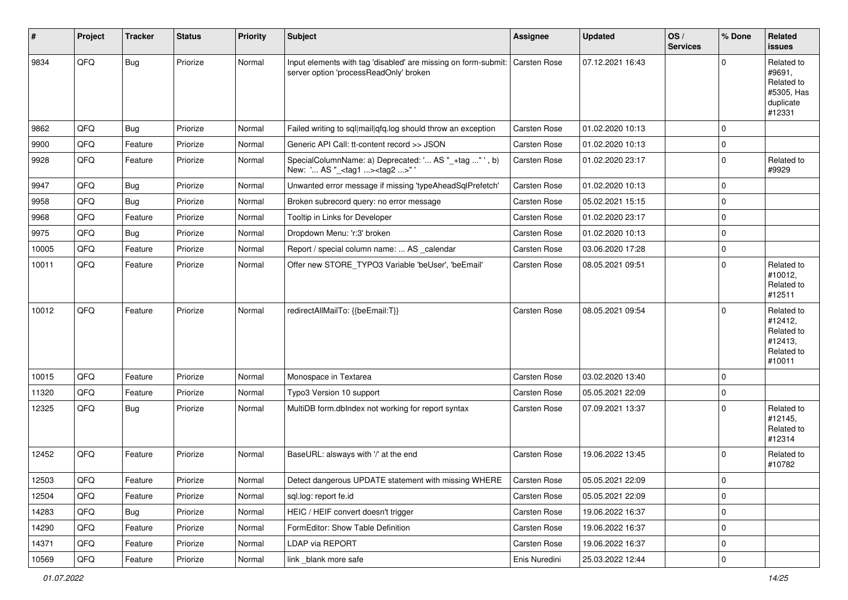| $\vert$ # | Project | <b>Tracker</b> | <b>Status</b> | <b>Priority</b> | <b>Subject</b>                                                                                                        | <b>Assignee</b>     | <b>Updated</b>   | OS/<br><b>Services</b> | % Done      | Related<br>issues                                                       |
|-----------|---------|----------------|---------------|-----------------|-----------------------------------------------------------------------------------------------------------------------|---------------------|------------------|------------------------|-------------|-------------------------------------------------------------------------|
| 9834      | QFQ     | <b>Bug</b>     | Priorize      | Normal          | Input elements with tag 'disabled' are missing on form-submit: Carsten Rose<br>server option 'processReadOnly' broken |                     | 07.12.2021 16:43 |                        | $\Omega$    | Related to<br>#9691,<br>Related to<br>#5305, Has<br>duplicate<br>#12331 |
| 9862      | QFQ     | <b>Bug</b>     | Priorize      | Normal          | Failed writing to sql mail qfq.log should throw an exception                                                          | <b>Carsten Rose</b> | 01.02.2020 10:13 |                        | $\Omega$    |                                                                         |
| 9900      | QFQ     | Feature        | Priorize      | Normal          | Generic API Call: tt-content record >> JSON                                                                           | Carsten Rose        | 01.02.2020 10:13 |                        | $\Omega$    |                                                                         |
| 9928      | QFQ     | Feature        | Priorize      | Normal          | SpecialColumnName: a) Deprecated: ' AS "_+tag " ', b)<br>New: ' AS "_ <tag1><tag2>"'</tag2></tag1>                    | Carsten Rose        | 01.02.2020 23:17 |                        | $\Omega$    | Related to<br>#9929                                                     |
| 9947      | QFQ     | Bug            | Priorize      | Normal          | Unwanted error message if missing 'typeAheadSqlPrefetch'                                                              | Carsten Rose        | 01.02.2020 10:13 |                        | $\Omega$    |                                                                         |
| 9958      | QFQ     | Bug            | Priorize      | Normal          | Broken subrecord query: no error message                                                                              | Carsten Rose        | 05.02.2021 15:15 |                        | $\Omega$    |                                                                         |
| 9968      | QFQ     | Feature        | Priorize      | Normal          | Tooltip in Links for Developer                                                                                        | Carsten Rose        | 01.02.2020 23:17 |                        | $\Omega$    |                                                                         |
| 9975      | QFQ     | <b>Bug</b>     | Priorize      | Normal          | Dropdown Menu: 'r:3' broken                                                                                           | Carsten Rose        | 01.02.2020 10:13 |                        | $\mathbf 0$ |                                                                         |
| 10005     | QFQ     | Feature        | Priorize      | Normal          | Report / special column name:  AS _calendar                                                                           | Carsten Rose        | 03.06.2020 17:28 |                        | $\Omega$    |                                                                         |
| 10011     | QFQ     | Feature        | Priorize      | Normal          | Offer new STORE_TYPO3 Variable 'beUser', 'beEmail'                                                                    | Carsten Rose        | 08.05.2021 09:51 |                        | $\Omega$    | Related to<br>#10012,<br>Related to<br>#12511                           |
| 10012     | QFQ     | Feature        | Priorize      | Normal          | redirectAllMailTo: {{beEmail:T}}                                                                                      | <b>Carsten Rose</b> | 08.05.2021 09:54 |                        | $\Omega$    | Related to<br>#12412,<br>Related to<br>#12413,<br>Related to<br>#10011  |
| 10015     | QFQ     | Feature        | Priorize      | Normal          | Monospace in Textarea                                                                                                 | <b>Carsten Rose</b> | 03.02.2020 13:40 |                        | $\mathbf 0$ |                                                                         |
| 11320     | QFQ     | Feature        | Priorize      | Normal          | Typo3 Version 10 support                                                                                              | Carsten Rose        | 05.05.2021 22:09 |                        | $\mathbf 0$ |                                                                         |
| 12325     | QFQ     | <b>Bug</b>     | Priorize      | Normal          | MultiDB form.dblndex not working for report syntax                                                                    | Carsten Rose        | 07.09.2021 13:37 |                        | $\Omega$    | Related to<br>#12145,<br>Related to<br>#12314                           |
| 12452     | QFQ     | Feature        | Priorize      | Normal          | BaseURL: alsways with '/' at the end                                                                                  | Carsten Rose        | 19.06.2022 13:45 |                        | $\Omega$    | Related to<br>#10782                                                    |
| 12503     | QFQ     | Feature        | Priorize      | Normal          | Detect dangerous UPDATE statement with missing WHERE Carsten Rose                                                     |                     | 05.05.2021 22:09 |                        | 0           |                                                                         |
| 12504     | QFQ     | Feature        | Priorize      | Normal          | sql.log: report fe.id                                                                                                 | Carsten Rose        | 05.05.2021 22:09 |                        | $\mathbf 0$ |                                                                         |
| 14283     | QFQ     | <b>Bug</b>     | Priorize      | Normal          | HEIC / HEIF convert doesn't trigger                                                                                   | Carsten Rose        | 19.06.2022 16:37 |                        | 0           |                                                                         |
| 14290     | QFQ     | Feature        | Priorize      | Normal          | FormEditor: Show Table Definition                                                                                     | Carsten Rose        | 19.06.2022 16:37 |                        | 0           |                                                                         |
| 14371     | QFQ     | Feature        | Priorize      | Normal          | LDAP via REPORT                                                                                                       | Carsten Rose        | 19.06.2022 16:37 |                        | 0           |                                                                         |
| 10569     | QFQ     | Feature        | Priorize      | Normal          | link _blank more safe                                                                                                 | Enis Nuredini       | 25.03.2022 12:44 |                        | $\pmb{0}$   |                                                                         |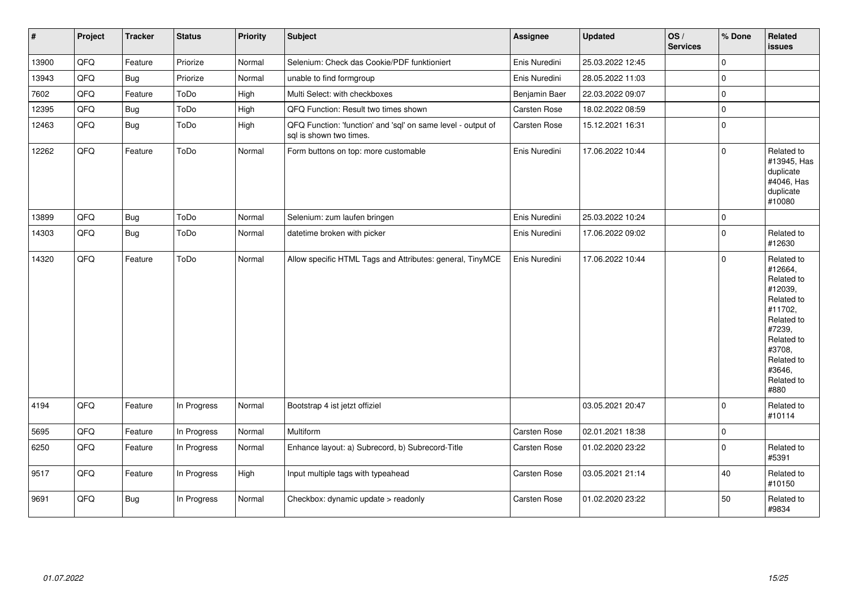| $\vert$ # | Project | <b>Tracker</b> | <b>Status</b> | <b>Priority</b> | <b>Subject</b>                                                                          | <b>Assignee</b>     | <b>Updated</b>   | OS/<br><b>Services</b> | % Done      | <b>Related</b><br><b>issues</b>                                                                                                                                       |
|-----------|---------|----------------|---------------|-----------------|-----------------------------------------------------------------------------------------|---------------------|------------------|------------------------|-------------|-----------------------------------------------------------------------------------------------------------------------------------------------------------------------|
| 13900     | QFQ     | Feature        | Priorize      | Normal          | Selenium: Check das Cookie/PDF funktioniert                                             | Enis Nuredini       | 25.03.2022 12:45 |                        | $\mathbf 0$ |                                                                                                                                                                       |
| 13943     | QFQ     | Bug            | Priorize      | Normal          | unable to find formgroup                                                                | Enis Nuredini       | 28.05.2022 11:03 |                        | $\mathbf 0$ |                                                                                                                                                                       |
| 7602      | QFQ     | Feature        | ToDo          | High            | Multi Select: with checkboxes                                                           | Benjamin Baer       | 22.03.2022 09:07 |                        | $\mathbf 0$ |                                                                                                                                                                       |
| 12395     | QFQ     | <b>Bug</b>     | ToDo          | High            | QFQ Function: Result two times shown                                                    | Carsten Rose        | 18.02.2022 08:59 |                        | $\mathbf 0$ |                                                                                                                                                                       |
| 12463     | QFQ     | <b>Bug</b>     | ToDo          | High            | QFQ Function: 'function' and 'sql' on same level - output of<br>sql is shown two times. | Carsten Rose        | 15.12.2021 16:31 |                        | $\Omega$    |                                                                                                                                                                       |
| 12262     | QFQ     | Feature        | ToDo          | Normal          | Form buttons on top: more customable                                                    | Enis Nuredini       | 17.06.2022 10:44 |                        | $\mathbf 0$ | Related to<br>#13945, Has<br>duplicate<br>#4046, Has<br>duplicate<br>#10080                                                                                           |
| 13899     | QFQ     | <b>Bug</b>     | ToDo          | Normal          | Selenium: zum laufen bringen                                                            | Enis Nuredini       | 25.03.2022 10:24 |                        | $\mathbf 0$ |                                                                                                                                                                       |
| 14303     | QFQ     | <b>Bug</b>     | ToDo          | Normal          | datetime broken with picker                                                             | Enis Nuredini       | 17.06.2022 09:02 |                        | $\mathbf 0$ | Related to<br>#12630                                                                                                                                                  |
| 14320     | QFQ     | Feature        | ToDo          | Normal          | Allow specific HTML Tags and Attributes: general, TinyMCE                               | Enis Nuredini       | 17.06.2022 10:44 |                        | $\mathbf 0$ | Related to<br>#12664,<br>Related to<br>#12039,<br>Related to<br>#11702,<br>Related to<br>#7239,<br>Related to<br>#3708,<br>Related to<br>#3646.<br>Related to<br>#880 |
| 4194      | QFQ     | Feature        | In Progress   | Normal          | Bootstrap 4 ist jetzt offiziel                                                          |                     | 03.05.2021 20:47 |                        | $\Omega$    | Related to<br>#10114                                                                                                                                                  |
| 5695      | QFQ     | Feature        | In Progress   | Normal          | Multiform                                                                               | Carsten Rose        | 02.01.2021 18:38 |                        | $\mathbf 0$ |                                                                                                                                                                       |
| 6250      | QFQ     | Feature        | In Progress   | Normal          | Enhance layout: a) Subrecord, b) Subrecord-Title                                        | Carsten Rose        | 01.02.2020 23:22 |                        | $\mathbf 0$ | Related to<br>#5391                                                                                                                                                   |
| 9517      | QFQ     | Feature        | In Progress   | High            | Input multiple tags with typeahead                                                      | Carsten Rose        | 03.05.2021 21:14 |                        | 40          | Related to<br>#10150                                                                                                                                                  |
| 9691      | QFQ     | <b>Bug</b>     | In Progress   | Normal          | Checkbox: dynamic update > readonly                                                     | <b>Carsten Rose</b> | 01.02.2020 23:22 |                        | 50          | Related to<br>#9834                                                                                                                                                   |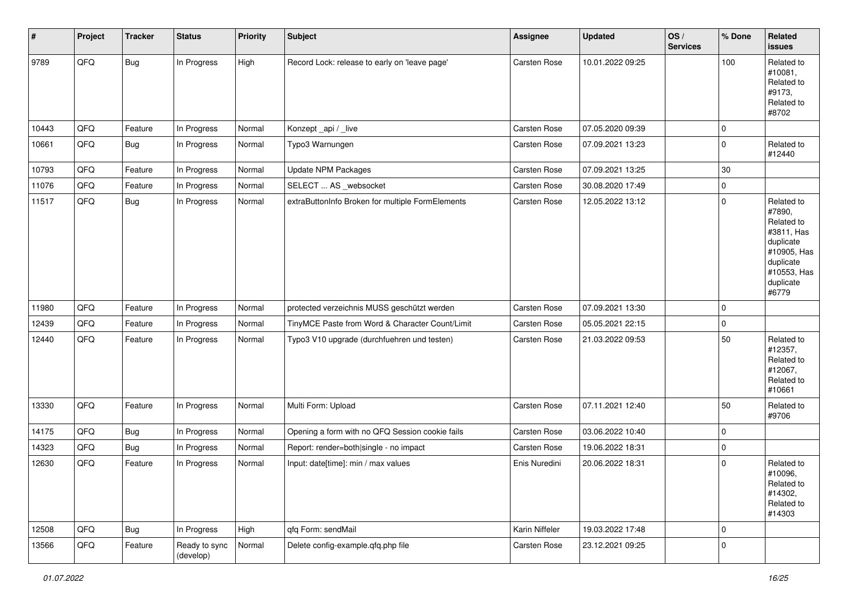| #     | Project | <b>Tracker</b> | <b>Status</b>              | <b>Priority</b> | <b>Subject</b>                                   | <b>Assignee</b> | <b>Updated</b>   | OS/<br><b>Services</b> | % Done      | Related<br><b>issues</b>                                                                                                       |
|-------|---------|----------------|----------------------------|-----------------|--------------------------------------------------|-----------------|------------------|------------------------|-------------|--------------------------------------------------------------------------------------------------------------------------------|
| 9789  | QFQ     | Bug            | In Progress                | High            | Record Lock: release to early on 'leave page'    | Carsten Rose    | 10.01.2022 09:25 |                        | 100         | Related to<br>#10081,<br>Related to<br>#9173,<br>Related to<br>#8702                                                           |
| 10443 | QFQ     | Feature        | In Progress                | Normal          | Konzept_api / _live                              | Carsten Rose    | 07.05.2020 09:39 |                        | 0           |                                                                                                                                |
| 10661 | QFQ     | Bug            | In Progress                | Normal          | Typo3 Warnungen                                  | Carsten Rose    | 07.09.2021 13:23 |                        | $\mathbf 0$ | Related to<br>#12440                                                                                                           |
| 10793 | QFQ     | Feature        | In Progress                | Normal          | <b>Update NPM Packages</b>                       | Carsten Rose    | 07.09.2021 13:25 |                        | 30          |                                                                                                                                |
| 11076 | QFQ     | Feature        | In Progress                | Normal          | SELECT  AS _websocket                            | Carsten Rose    | 30.08.2020 17:49 |                        | $\mathbf 0$ |                                                                                                                                |
| 11517 | QFQ     | <b>Bug</b>     | In Progress                | Normal          | extraButtonInfo Broken for multiple FormElements | Carsten Rose    | 12.05.2022 13:12 |                        | $\Omega$    | Related to<br>#7890,<br>Related to<br>#3811, Has<br>duplicate<br>#10905, Has<br>duplicate<br>#10553, Has<br>duplicate<br>#6779 |
| 11980 | QFQ     | Feature        | In Progress                | Normal          | protected verzeichnis MUSS geschützt werden      | Carsten Rose    | 07.09.2021 13:30 |                        | 0           |                                                                                                                                |
| 12439 | QFQ     | Feature        | In Progress                | Normal          | TinyMCE Paste from Word & Character Count/Limit  | Carsten Rose    | 05.05.2021 22:15 |                        | $\mathbf 0$ |                                                                                                                                |
| 12440 | QFQ     | Feature        | In Progress                | Normal          | Typo3 V10 upgrade (durchfuehren und testen)      | Carsten Rose    | 21.03.2022 09:53 |                        | 50          | Related to<br>#12357,<br>Related to<br>#12067,<br>Related to<br>#10661                                                         |
| 13330 | QFQ     | Feature        | In Progress                | Normal          | Multi Form: Upload                               | Carsten Rose    | 07.11.2021 12:40 |                        | 50          | Related to<br>#9706                                                                                                            |
| 14175 | QFQ     | <b>Bug</b>     | In Progress                | Normal          | Opening a form with no QFQ Session cookie fails  | Carsten Rose    | 03.06.2022 10:40 |                        | $\mathbf 0$ |                                                                                                                                |
| 14323 | QFQ     | Bug            | In Progress                | Normal          | Report: render=both single - no impact           | Carsten Rose    | 19.06.2022 18:31 |                        | 0           |                                                                                                                                |
| 12630 | QFQ     | Feature        | In Progress                | Normal          | Input: date[time]: min / max values              | Enis Nuredini   | 20.06.2022 18:31 |                        | $\mathbf 0$ | Related to<br>#10096,<br>Related to<br>#14302,<br>Related to<br>#14303                                                         |
| 12508 | QFQ     | Bug            | In Progress                | High            | qfq Form: sendMail                               | Karin Niffeler  | 19.03.2022 17:48 |                        | $\mathbf 0$ |                                                                                                                                |
| 13566 | QFQ     | Feature        | Ready to sync<br>(develop) | Normal          | Delete config-example.qfq.php file               | Carsten Rose    | 23.12.2021 09:25 |                        | $\mathbf 0$ |                                                                                                                                |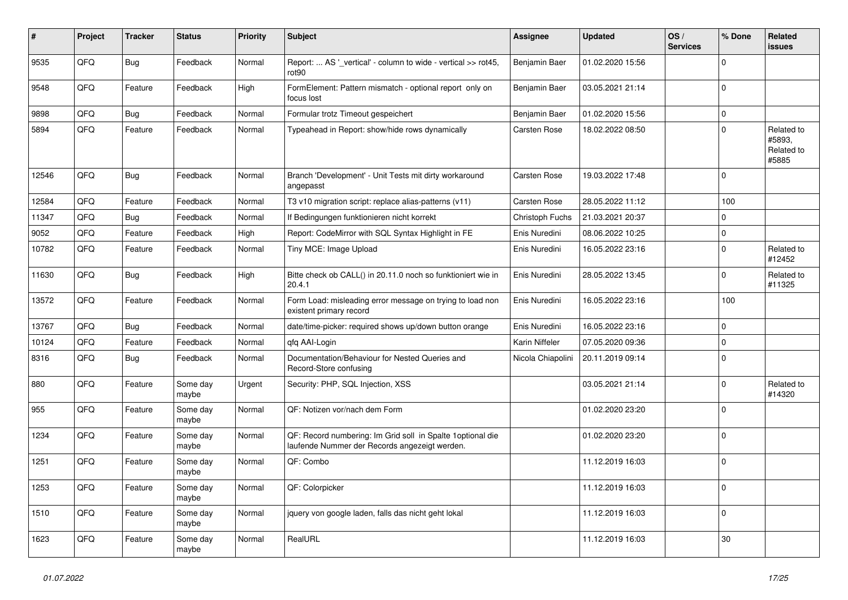| #     | Project | <b>Tracker</b> | <b>Status</b>     | <b>Priority</b> | <b>Subject</b>                                                                                               | <b>Assignee</b>   | <b>Updated</b>   | OS/<br><b>Services</b> | % Done      | Related<br><b>issues</b>                    |
|-------|---------|----------------|-------------------|-----------------|--------------------------------------------------------------------------------------------------------------|-------------------|------------------|------------------------|-------------|---------------------------------------------|
| 9535  | QFQ     | <b>Bug</b>     | Feedback          | Normal          | Report:  AS '_vertical' - column to wide - vertical >> rot45,<br>rot90                                       | Benjamin Baer     | 01.02.2020 15:56 |                        | $\Omega$    |                                             |
| 9548  | QFQ     | Feature        | Feedback          | High            | FormElement: Pattern mismatch - optional report only on<br>focus lost                                        | Benjamin Baer     | 03.05.2021 21:14 |                        | $\pmb{0}$   |                                             |
| 9898  | QFQ     | Bug            | Feedback          | Normal          | Formular trotz Timeout gespeichert                                                                           | Benjamin Baer     | 01.02.2020 15:56 |                        | $\mathbf 0$ |                                             |
| 5894  | QFQ     | Feature        | Feedback          | Normal          | Typeahead in Report: show/hide rows dynamically                                                              | Carsten Rose      | 18.02.2022 08:50 |                        | $\Omega$    | Related to<br>#5893,<br>Related to<br>#5885 |
| 12546 | QFQ     | Bug            | Feedback          | Normal          | Branch 'Development' - Unit Tests mit dirty workaround<br>angepasst                                          | Carsten Rose      | 19.03.2022 17:48 |                        | $\Omega$    |                                             |
| 12584 | QFQ     | Feature        | Feedback          | Normal          | T3 v10 migration script: replace alias-patterns (v11)                                                        | Carsten Rose      | 28.05.2022 11:12 |                        | 100         |                                             |
| 11347 | QFQ     | Bug            | Feedback          | Normal          | If Bedingungen funktionieren nicht korrekt                                                                   | Christoph Fuchs   | 21.03.2021 20:37 |                        | $\mathbf 0$ |                                             |
| 9052  | QFQ     | Feature        | Feedback          | High            | Report: CodeMirror with SQL Syntax Highlight in FE                                                           | Enis Nuredini     | 08.06.2022 10:25 |                        | $\mathbf 0$ |                                             |
| 10782 | QFQ     | Feature        | Feedback          | Normal          | Tiny MCE: Image Upload                                                                                       | Enis Nuredini     | 16.05.2022 23:16 |                        | $\mathbf 0$ | Related to<br>#12452                        |
| 11630 | QFQ     | Bug            | Feedback          | High            | Bitte check ob CALL() in 20.11.0 noch so funktioniert wie in<br>20.4.1                                       | Enis Nuredini     | 28.05.2022 13:45 |                        | $\mathbf 0$ | Related to<br>#11325                        |
| 13572 | QFQ     | Feature        | Feedback          | Normal          | Form Load: misleading error message on trying to load non<br>existent primary record                         | Enis Nuredini     | 16.05.2022 23:16 |                        | 100         |                                             |
| 13767 | QFQ     | <b>Bug</b>     | Feedback          | Normal          | date/time-picker: required shows up/down button orange                                                       | Enis Nuredini     | 16.05.2022 23:16 |                        | $\mathbf 0$ |                                             |
| 10124 | QFQ     | Feature        | Feedback          | Normal          | gfg AAI-Login                                                                                                | Karin Niffeler    | 07.05.2020 09:36 |                        | $\mathbf 0$ |                                             |
| 8316  | QFQ     | Bug            | Feedback          | Normal          | Documentation/Behaviour for Nested Queries and<br>Record-Store confusing                                     | Nicola Chiapolini | 20.11.2019 09:14 |                        | $\Omega$    |                                             |
| 880   | QFQ     | Feature        | Some day<br>maybe | Urgent          | Security: PHP, SQL Injection, XSS                                                                            |                   | 03.05.2021 21:14 |                        | $\mathbf 0$ | Related to<br>#14320                        |
| 955   | QFQ     | Feature        | Some day<br>maybe | Normal          | QF: Notizen vor/nach dem Form                                                                                |                   | 01.02.2020 23:20 |                        | $\Omega$    |                                             |
| 1234  | QFQ     | Feature        | Some day<br>maybe | Normal          | QF: Record numbering: Im Grid soll in Spalte 1 optional die<br>laufende Nummer der Records angezeigt werden. |                   | 01.02.2020 23:20 |                        | $\Omega$    |                                             |
| 1251  | QFQ     | Feature        | Some day<br>maybe | Normal          | QF: Combo                                                                                                    |                   | 11.12.2019 16:03 |                        | $\mathbf 0$ |                                             |
| 1253  | QFQ     | Feature        | Some day<br>maybe | Normal          | QF: Colorpicker                                                                                              |                   | 11.12.2019 16:03 |                        | $\Omega$    |                                             |
| 1510  | QFQ     | Feature        | Some day<br>maybe | Normal          | jquery von google laden, falls das nicht geht lokal                                                          |                   | 11.12.2019 16:03 |                        | $\mathbf 0$ |                                             |
| 1623  | QFQ     | Feature        | Some day<br>maybe | Normal          | RealURL                                                                                                      |                   | 11.12.2019 16:03 |                        | 30          |                                             |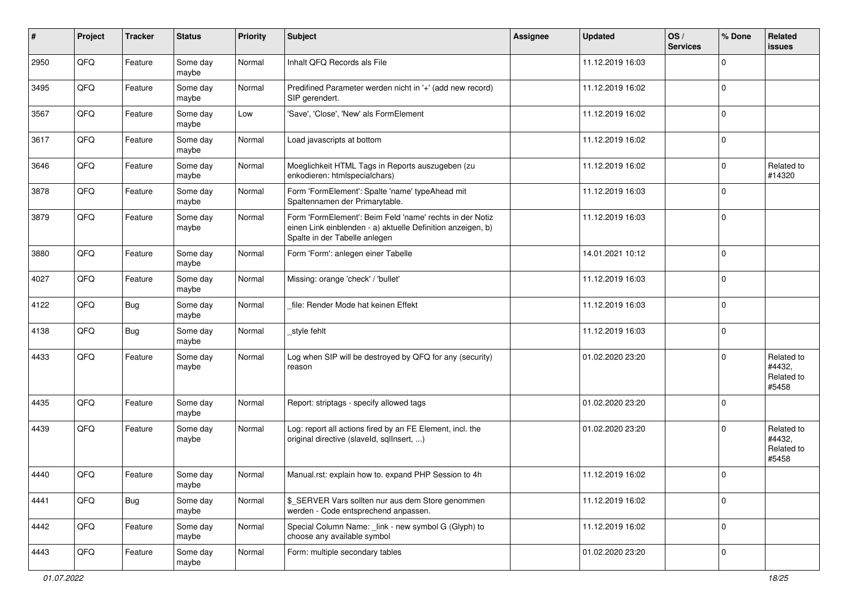| #    | Project | <b>Tracker</b> | <b>Status</b>     | <b>Priority</b> | <b>Subject</b>                                                                                                                                           | <b>Assignee</b> | <b>Updated</b>   | OS/<br><b>Services</b> | % Done      | Related<br><b>issues</b>                    |
|------|---------|----------------|-------------------|-----------------|----------------------------------------------------------------------------------------------------------------------------------------------------------|-----------------|------------------|------------------------|-------------|---------------------------------------------|
| 2950 | QFQ     | Feature        | Some day<br>maybe | Normal          | Inhalt QFQ Records als File                                                                                                                              |                 | 11.12.2019 16:03 |                        | $\mathbf 0$ |                                             |
| 3495 | QFQ     | Feature        | Some day<br>maybe | Normal          | Predifined Parameter werden nicht in '+' (add new record)<br>SIP gerendert.                                                                              |                 | 11.12.2019 16:02 |                        | $\mathbf 0$ |                                             |
| 3567 | QFQ     | Feature        | Some day<br>maybe | Low             | 'Save', 'Close', 'New' als FormElement                                                                                                                   |                 | 11.12.2019 16:02 |                        | $\mathbf 0$ |                                             |
| 3617 | QFQ     | Feature        | Some day<br>maybe | Normal          | Load javascripts at bottom                                                                                                                               |                 | 11.12.2019 16:02 |                        | $\mathbf 0$ |                                             |
| 3646 | QFQ     | Feature        | Some day<br>maybe | Normal          | Moeglichkeit HTML Tags in Reports auszugeben (zu<br>enkodieren: htmlspecialchars)                                                                        |                 | 11.12.2019 16:02 |                        | $\mathbf 0$ | Related to<br>#14320                        |
| 3878 | QFQ     | Feature        | Some day<br>maybe | Normal          | Form 'FormElement': Spalte 'name' typeAhead mit<br>Spaltennamen der Primarytable.                                                                        |                 | 11.12.2019 16:03 |                        | $\mathbf 0$ |                                             |
| 3879 | QFQ     | Feature        | Some day<br>maybe | Normal          | Form 'FormElement': Beim Feld 'name' rechts in der Notiz<br>einen Link einblenden - a) aktuelle Definition anzeigen, b)<br>Spalte in der Tabelle anlegen |                 | 11.12.2019 16:03 |                        | $\mathbf 0$ |                                             |
| 3880 | QFQ     | Feature        | Some day<br>maybe | Normal          | Form 'Form': anlegen einer Tabelle                                                                                                                       |                 | 14.01.2021 10:12 |                        | $\mathbf 0$ |                                             |
| 4027 | QFQ     | Feature        | Some day<br>maybe | Normal          | Missing: orange 'check' / 'bullet'                                                                                                                       |                 | 11.12.2019 16:03 |                        | $\mathbf 0$ |                                             |
| 4122 | QFQ     | Bug            | Some day<br>maybe | Normal          | file: Render Mode hat keinen Effekt                                                                                                                      |                 | 11.12.2019 16:03 |                        | $\mathbf 0$ |                                             |
| 4138 | QFQ     | Bug            | Some day<br>maybe | Normal          | style fehlt                                                                                                                                              |                 | 11.12.2019 16:03 |                        | $\mathbf 0$ |                                             |
| 4433 | QFQ     | Feature        | Some day<br>maybe | Normal          | Log when SIP will be destroyed by QFQ for any (security)<br>reason                                                                                       |                 | 01.02.2020 23:20 |                        | $\Omega$    | Related to<br>#4432,<br>Related to<br>#5458 |
| 4435 | QFQ     | Feature        | Some day<br>maybe | Normal          | Report: striptags - specify allowed tags                                                                                                                 |                 | 01.02.2020 23:20 |                        | $\mathbf 0$ |                                             |
| 4439 | QFQ     | Feature        | Some day<br>maybe | Normal          | Log: report all actions fired by an FE Element, incl. the<br>original directive (slaveld, sqllnsert, )                                                   |                 | 01.02.2020 23:20 |                        | $\Omega$    | Related to<br>#4432,<br>Related to<br>#5458 |
| 4440 | QFQ     | Feature        | Some day<br>maybe | Normal          | Manual.rst: explain how to. expand PHP Session to 4h                                                                                                     |                 | 11.12.2019 16:02 |                        | $\mathbf 0$ |                                             |
| 4441 | QFQ     | <b>Bug</b>     | Some day<br>maybe | Normal          | \$_SERVER Vars sollten nur aus dem Store genommen<br>werden - Code entsprechend anpassen.                                                                |                 | 11.12.2019 16:02 |                        | $\mathbf 0$ |                                             |
| 4442 | QFQ     | Feature        | Some day<br>maybe | Normal          | Special Column Name: _link - new symbol G (Glyph) to<br>choose any available symbol                                                                      |                 | 11.12.2019 16:02 |                        | $\mathbf 0$ |                                             |
| 4443 | QFG     | Feature        | Some day<br>maybe | Normal          | Form: multiple secondary tables                                                                                                                          |                 | 01.02.2020 23:20 |                        | $\mathbf 0$ |                                             |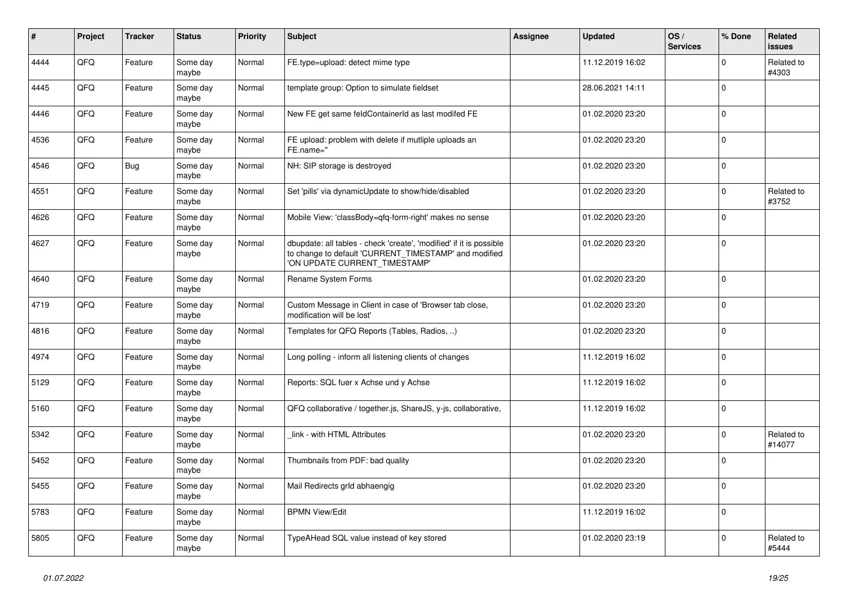| ∦    | Project | <b>Tracker</b> | <b>Status</b>     | <b>Priority</b> | <b>Subject</b>                                                                                                                                                | Assignee | <b>Updated</b>   | OS/<br><b>Services</b> | % Done      | Related<br><b>issues</b> |
|------|---------|----------------|-------------------|-----------------|---------------------------------------------------------------------------------------------------------------------------------------------------------------|----------|------------------|------------------------|-------------|--------------------------|
| 4444 | QFQ     | Feature        | Some day<br>maybe | Normal          | FE.type=upload: detect mime type                                                                                                                              |          | 11.12.2019 16:02 |                        | $\Omega$    | Related to<br>#4303      |
| 4445 | QFQ     | Feature        | Some day<br>maybe | Normal          | template group: Option to simulate fieldset                                                                                                                   |          | 28.06.2021 14:11 |                        | $\mathbf 0$ |                          |
| 4446 | QFQ     | Feature        | Some day<br>maybe | Normal          | New FE get same feldContainerId as last modifed FE                                                                                                            |          | 01.02.2020 23:20 |                        | $\mathbf 0$ |                          |
| 4536 | QFQ     | Feature        | Some day<br>maybe | Normal          | FE upload: problem with delete if mutliple uploads an<br>FE.name="                                                                                            |          | 01.02.2020 23:20 |                        | $\mathbf 0$ |                          |
| 4546 | QFQ     | Bug            | Some day<br>maybe | Normal          | NH: SIP storage is destroyed                                                                                                                                  |          | 01.02.2020 23:20 |                        | $\mathbf 0$ |                          |
| 4551 | QFQ     | Feature        | Some day<br>maybe | Normal          | Set 'pills' via dynamicUpdate to show/hide/disabled                                                                                                           |          | 01.02.2020 23:20 |                        | $\Omega$    | Related to<br>#3752      |
| 4626 | QFQ     | Feature        | Some day<br>maybe | Normal          | Mobile View: 'classBody=qfq-form-right' makes no sense                                                                                                        |          | 01.02.2020 23:20 |                        | $\Omega$    |                          |
| 4627 | QFQ     | Feature        | Some day<br>maybe | Normal          | dbupdate: all tables - check 'create', 'modified' if it is possible<br>to change to default 'CURRENT_TIMESTAMP' and modified<br>'ON UPDATE CURRENT_TIMESTAMP' |          | 01.02.2020 23:20 |                        | $\mathbf 0$ |                          |
| 4640 | QFQ     | Feature        | Some day<br>maybe | Normal          | Rename System Forms                                                                                                                                           |          | 01.02.2020 23:20 |                        | $\Omega$    |                          |
| 4719 | QFQ     | Feature        | Some day<br>maybe | Normal          | Custom Message in Client in case of 'Browser tab close,<br>modification will be lost'                                                                         |          | 01.02.2020 23:20 |                        | $\mathbf 0$ |                          |
| 4816 | QFQ     | Feature        | Some day<br>maybe | Normal          | Templates for QFQ Reports (Tables, Radios, )                                                                                                                  |          | 01.02.2020 23:20 |                        | $\mathbf 0$ |                          |
| 4974 | QFQ     | Feature        | Some day<br>maybe | Normal          | Long polling - inform all listening clients of changes                                                                                                        |          | 11.12.2019 16:02 |                        | $\Omega$    |                          |
| 5129 | QFQ     | Feature        | Some day<br>maybe | Normal          | Reports: SQL fuer x Achse und y Achse                                                                                                                         |          | 11.12.2019 16:02 |                        | $\mathbf 0$ |                          |
| 5160 | QFQ     | Feature        | Some day<br>maybe | Normal          | QFQ collaborative / together.js, ShareJS, y-js, collaborative,                                                                                                |          | 11.12.2019 16:02 |                        | $\mathbf 0$ |                          |
| 5342 | QFQ     | Feature        | Some day<br>maybe | Normal          | link - with HTML Attributes                                                                                                                                   |          | 01.02.2020 23:20 |                        | $\mathbf 0$ | Related to<br>#14077     |
| 5452 | QFQ     | Feature        | Some day<br>maybe | Normal          | Thumbnails from PDF: bad quality                                                                                                                              |          | 01.02.2020 23:20 |                        | $\mathbf 0$ |                          |
| 5455 | QFQ     | Feature        | Some day<br>maybe | Normal          | Mail Redirects grld abhaengig                                                                                                                                 |          | 01.02.2020 23:20 |                        | $\mathbf 0$ |                          |
| 5783 | QFQ     | Feature        | Some day<br>maybe | Normal          | <b>BPMN View/Edit</b>                                                                                                                                         |          | 11.12.2019 16:02 |                        | $\Omega$    |                          |
| 5805 | QFQ     | Feature        | Some day<br>maybe | Normal          | TypeAHead SQL value instead of key stored                                                                                                                     |          | 01.02.2020 23:19 |                        | $\mathbf 0$ | Related to<br>#5444      |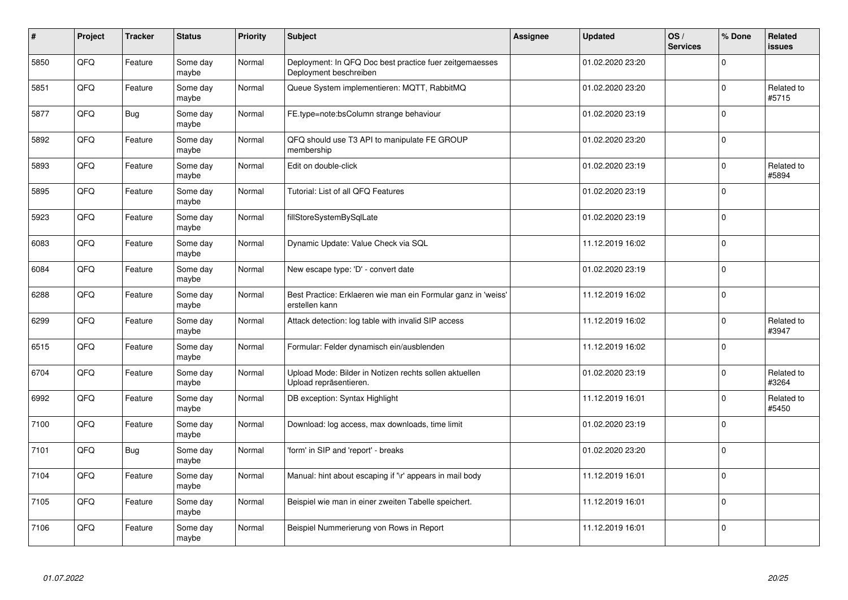| #    | Project | <b>Tracker</b> | <b>Status</b>     | <b>Priority</b> | <b>Subject</b>                                                                    | <b>Assignee</b> | <b>Updated</b>   | OS/<br><b>Services</b> | % Done      | <b>Related</b><br><b>issues</b> |
|------|---------|----------------|-------------------|-----------------|-----------------------------------------------------------------------------------|-----------------|------------------|------------------------|-------------|---------------------------------|
| 5850 | QFQ     | Feature        | Some day<br>maybe | Normal          | Deployment: In QFQ Doc best practice fuer zeitgemaesses<br>Deployment beschreiben |                 | 01.02.2020 23:20 |                        | $\Omega$    |                                 |
| 5851 | QFQ     | Feature        | Some day<br>maybe | Normal          | Queue System implementieren: MQTT, RabbitMQ                                       |                 | 01.02.2020 23:20 |                        | $\mathbf 0$ | Related to<br>#5715             |
| 5877 | QFQ     | <b>Bug</b>     | Some day<br>maybe | Normal          | FE.type=note:bsColumn strange behaviour                                           |                 | 01.02.2020 23:19 |                        | $\mathbf 0$ |                                 |
| 5892 | QFQ     | Feature        | Some day<br>maybe | Normal          | QFQ should use T3 API to manipulate FE GROUP<br>membership                        |                 | 01.02.2020 23:20 |                        | $\Omega$    |                                 |
| 5893 | QFQ     | Feature        | Some day<br>maybe | Normal          | Edit on double-click                                                              |                 | 01.02.2020 23:19 |                        | $\Omega$    | Related to<br>#5894             |
| 5895 | QFQ     | Feature        | Some day<br>maybe | Normal          | Tutorial: List of all QFQ Features                                                |                 | 01.02.2020 23:19 |                        | $\mathbf 0$ |                                 |
| 5923 | QFQ     | Feature        | Some day<br>maybe | Normal          | fillStoreSystemBySqlLate                                                          |                 | 01.02.2020 23:19 |                        | $\mathbf 0$ |                                 |
| 6083 | QFQ     | Feature        | Some day<br>maybe | Normal          | Dynamic Update: Value Check via SQL                                               |                 | 11.12.2019 16:02 |                        | $\Omega$    |                                 |
| 6084 | QFQ     | Feature        | Some day<br>maybe | Normal          | New escape type: 'D' - convert date                                               |                 | 01.02.2020 23:19 |                        | $\mathbf 0$ |                                 |
| 6288 | QFQ     | Feature        | Some dav<br>maybe | Normal          | Best Practice: Erklaeren wie man ein Formular ganz in 'weiss'<br>erstellen kann   |                 | 11.12.2019 16:02 |                        | $\mathbf 0$ |                                 |
| 6299 | QFQ     | Feature        | Some day<br>maybe | Normal          | Attack detection: log table with invalid SIP access                               |                 | 11.12.2019 16:02 |                        | $\mathbf 0$ | Related to<br>#3947             |
| 6515 | QFQ     | Feature        | Some day<br>maybe | Normal          | Formular: Felder dynamisch ein/ausblenden                                         |                 | 11.12.2019 16:02 |                        | $\Omega$    |                                 |
| 6704 | QFQ     | Feature        | Some day<br>maybe | Normal          | Upload Mode: Bilder in Notizen rechts sollen aktuellen<br>Upload repräsentieren.  |                 | 01.02.2020 23:19 |                        | $\mathbf 0$ | Related to<br>#3264             |
| 6992 | QFQ     | Feature        | Some day<br>maybe | Normal          | DB exception: Syntax Highlight                                                    |                 | 11.12.2019 16:01 |                        | $\mathbf 0$ | Related to<br>#5450             |
| 7100 | QFQ     | Feature        | Some day<br>maybe | Normal          | Download: log access, max downloads, time limit                                   |                 | 01.02.2020 23:19 |                        | $\Omega$    |                                 |
| 7101 | QFQ     | Bug            | Some day<br>maybe | Normal          | 'form' in SIP and 'report' - breaks                                               |                 | 01.02.2020 23:20 |                        | $\mathbf 0$ |                                 |
| 7104 | QFQ     | Feature        | Some day<br>maybe | Normal          | Manual: hint about escaping if '\r' appears in mail body                          |                 | 11.12.2019 16:01 |                        | $\mathbf 0$ |                                 |
| 7105 | QFQ     | Feature        | Some day<br>maybe | Normal          | Beispiel wie man in einer zweiten Tabelle speichert.                              |                 | 11.12.2019 16:01 |                        | $\pmb{0}$   |                                 |
| 7106 | QFQ     | Feature        | Some day<br>maybe | Normal          | Beispiel Nummerierung von Rows in Report                                          |                 | 11.12.2019 16:01 |                        | $\Omega$    |                                 |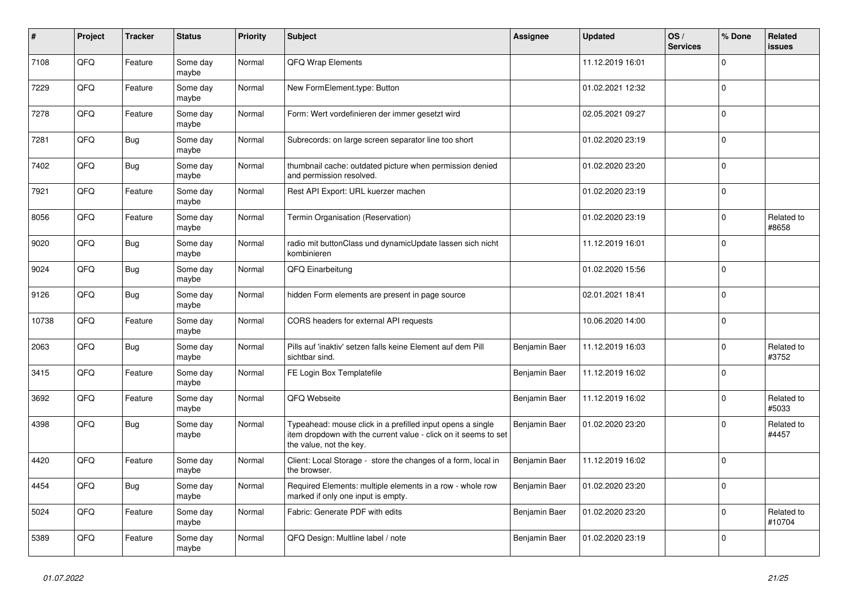| #     | Project | <b>Tracker</b> | <b>Status</b>     | <b>Priority</b> | <b>Subject</b>                                                                                                                                           | Assignee      | <b>Updated</b>   | OS/<br><b>Services</b> | % Done      | <b>Related</b><br>issues |
|-------|---------|----------------|-------------------|-----------------|----------------------------------------------------------------------------------------------------------------------------------------------------------|---------------|------------------|------------------------|-------------|--------------------------|
| 7108  | QFQ     | Feature        | Some day<br>maybe | Normal          | QFQ Wrap Elements                                                                                                                                        |               | 11.12.2019 16:01 |                        | $\Omega$    |                          |
| 7229  | QFQ     | Feature        | Some dav<br>maybe | Normal          | New FormElement.type: Button                                                                                                                             |               | 01.02.2021 12:32 |                        | $\mathbf 0$ |                          |
| 7278  | QFQ     | Feature        | Some day<br>maybe | Normal          | Form: Wert vordefinieren der immer gesetzt wird                                                                                                          |               | 02.05.2021 09:27 |                        | $\Omega$    |                          |
| 7281  | QFQ     | Bug            | Some day<br>maybe | Normal          | Subrecords: on large screen separator line too short                                                                                                     |               | 01.02.2020 23:19 |                        | $\mathbf 0$ |                          |
| 7402  | QFQ     | <b>Bug</b>     | Some day<br>maybe | Normal          | thumbnail cache: outdated picture when permission denied<br>and permission resolved.                                                                     |               | 01.02.2020 23:20 |                        | $\Omega$    |                          |
| 7921  | QFQ     | Feature        | Some dav<br>maybe | Normal          | Rest API Export: URL kuerzer machen                                                                                                                      |               | 01.02.2020 23:19 |                        | $\mathbf 0$ |                          |
| 8056  | QFQ     | Feature        | Some day<br>maybe | Normal          | Termin Organisation (Reservation)                                                                                                                        |               | 01.02.2020 23:19 |                        | $\Omega$    | Related to<br>#8658      |
| 9020  | QFQ     | <b>Bug</b>     | Some dav<br>maybe | Normal          | radio mit buttonClass und dynamicUpdate lassen sich nicht<br>kombinieren                                                                                 |               | 11.12.2019 16:01 |                        | $\Omega$    |                          |
| 9024  | QFQ     | <b>Bug</b>     | Some day<br>maybe | Normal          | QFQ Einarbeitung                                                                                                                                         |               | 01.02.2020 15:56 |                        | $\mathbf 0$ |                          |
| 9126  | QFQ     | Bug            | Some dav<br>maybe | Normal          | hidden Form elements are present in page source                                                                                                          |               | 02.01.2021 18:41 |                        | $\mathbf 0$ |                          |
| 10738 | QFQ     | Feature        | Some day<br>maybe | Normal          | CORS headers for external API requests                                                                                                                   |               | 10.06.2020 14:00 |                        | $\mathbf 0$ |                          |
| 2063  | QFQ     | <b>Bug</b>     | Some day<br>maybe | Normal          | Pills auf 'inaktiv' setzen falls keine Element auf dem Pill<br>sichtbar sind.                                                                            | Benjamin Baer | 11.12.2019 16:03 |                        | $\mathbf 0$ | Related to<br>#3752      |
| 3415  | QFQ     | Feature        | Some day<br>maybe | Normal          | FE Login Box Templatefile                                                                                                                                | Benjamin Baer | 11.12.2019 16:02 |                        | $\mathbf 0$ |                          |
| 3692  | QFQ     | Feature        | Some day<br>maybe | Normal          | QFQ Webseite                                                                                                                                             | Benjamin Baer | 11.12.2019 16:02 |                        | $\mathbf 0$ | Related to<br>#5033      |
| 4398  | QFQ     | <b>Bug</b>     | Some day<br>maybe | Normal          | Typeahead: mouse click in a prefilled input opens a single<br>item dropdown with the current value - click on it seems to set<br>the value, not the key. | Benjamin Baer | 01.02.2020 23:20 |                        | $\mathbf 0$ | Related to<br>#4457      |
| 4420  | QFQ     | Feature        | Some day<br>maybe | Normal          | Client: Local Storage - store the changes of a form, local in<br>the browser.                                                                            | Benjamin Baer | 11.12.2019 16:02 |                        | $\mathbf 0$ |                          |
| 4454  | QFQ     | <b>Bug</b>     | Some day<br>maybe | Normal          | Required Elements: multiple elements in a row - whole row<br>marked if only one input is empty.                                                          | Benjamin Baer | 01.02.2020 23:20 |                        | $\mathbf 0$ |                          |
| 5024  | QFQ     | Feature        | Some day<br>maybe | Normal          | Fabric: Generate PDF with edits                                                                                                                          | Benjamin Baer | 01.02.2020 23:20 |                        | $\Omega$    | Related to<br>#10704     |
| 5389  | QFQ     | Feature        | Some day<br>maybe | Normal          | QFQ Design: Multline label / note                                                                                                                        | Benjamin Baer | 01.02.2020 23:19 |                        | $\mathbf 0$ |                          |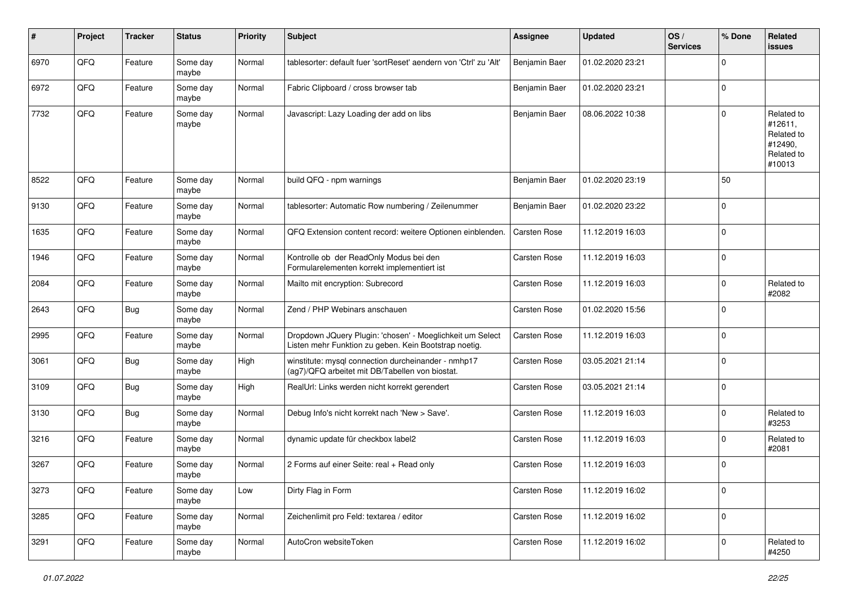| $\#$ | Project | <b>Tracker</b> | <b>Status</b>     | <b>Priority</b> | <b>Subject</b>                                                                                                     | <b>Assignee</b>     | <b>Updated</b>   | OS/<br><b>Services</b> | % Done      | Related<br>issues                                                      |
|------|---------|----------------|-------------------|-----------------|--------------------------------------------------------------------------------------------------------------------|---------------------|------------------|------------------------|-------------|------------------------------------------------------------------------|
| 6970 | QFQ     | Feature        | Some day<br>maybe | Normal          | tablesorter: default fuer 'sortReset' aendern von 'Ctrl' zu 'Alt'                                                  | Benjamin Baer       | 01.02.2020 23:21 |                        | $\Omega$    |                                                                        |
| 6972 | QFQ     | Feature        | Some day<br>maybe | Normal          | Fabric Clipboard / cross browser tab                                                                               | Benjamin Baer       | 01.02.2020 23:21 |                        | $\mathbf 0$ |                                                                        |
| 7732 | QFQ     | Feature        | Some day<br>maybe | Normal          | Javascript: Lazy Loading der add on libs                                                                           | Benjamin Baer       | 08.06.2022 10:38 |                        | $\Omega$    | Related to<br>#12611,<br>Related to<br>#12490,<br>Related to<br>#10013 |
| 8522 | QFQ     | Feature        | Some day<br>maybe | Normal          | build QFQ - npm warnings                                                                                           | Benjamin Baer       | 01.02.2020 23:19 |                        | 50          |                                                                        |
| 9130 | QFQ     | Feature        | Some day<br>maybe | Normal          | tablesorter: Automatic Row numbering / Zeilenummer                                                                 | Benjamin Baer       | 01.02.2020 23:22 |                        | $\Omega$    |                                                                        |
| 1635 | QFQ     | Feature        | Some day<br>maybe | Normal          | QFQ Extension content record: weitere Optionen einblenden.                                                         | Carsten Rose        | 11.12.2019 16:03 |                        | $\mathbf 0$ |                                                                        |
| 1946 | QFQ     | Feature        | Some day<br>maybe | Normal          | Kontrolle ob der ReadOnly Modus bei den<br>Formularelementen korrekt implementiert ist                             | Carsten Rose        | 11.12.2019 16:03 |                        | $\mathbf 0$ |                                                                        |
| 2084 | QFQ     | Feature        | Some day<br>maybe | Normal          | Mailto mit encryption: Subrecord                                                                                   | <b>Carsten Rose</b> | 11.12.2019 16:03 |                        | $\mathbf 0$ | Related to<br>#2082                                                    |
| 2643 | QFQ     | Bug            | Some day<br>maybe | Normal          | Zend / PHP Webinars anschauen                                                                                      | Carsten Rose        | 01.02.2020 15:56 |                        | $\Omega$    |                                                                        |
| 2995 | QFQ     | Feature        | Some day<br>maybe | Normal          | Dropdown JQuery Plugin: 'chosen' - Moeglichkeit um Select<br>Listen mehr Funktion zu geben. Kein Bootstrap noetig. | Carsten Rose        | 11.12.2019 16:03 |                        | $\Omega$    |                                                                        |
| 3061 | QFQ     | <b>Bug</b>     | Some day<br>maybe | High            | winstitute: mysql connection durcheinander - nmhp17<br>(ag7)/QFQ arbeitet mit DB/Tabellen von biostat.             | Carsten Rose        | 03.05.2021 21:14 |                        | $\Omega$    |                                                                        |
| 3109 | QFQ     | <b>Bug</b>     | Some day<br>maybe | High            | RealUrl: Links werden nicht korrekt gerendert                                                                      | Carsten Rose        | 03.05.2021 21:14 |                        | $\mathbf 0$ |                                                                        |
| 3130 | QFQ     | Bug            | Some day<br>maybe | Normal          | Debug Info's nicht korrekt nach 'New > Save'.                                                                      | Carsten Rose        | 11.12.2019 16:03 |                        | $\Omega$    | Related to<br>#3253                                                    |
| 3216 | QFQ     | Feature        | Some day<br>maybe | Normal          | dynamic update für checkbox label2                                                                                 | Carsten Rose        | 11.12.2019 16:03 |                        | $\Omega$    | Related to<br>#2081                                                    |
| 3267 | QFQ     | Feature        | Some day<br>maybe | Normal          | 2 Forms auf einer Seite: real + Read only                                                                          | Carsten Rose        | 11.12.2019 16:03 |                        | $\Omega$    |                                                                        |
| 3273 | QFQ     | Feature        | Some day<br>maybe | Low             | Dirty Flag in Form                                                                                                 | Carsten Rose        | 11.12.2019 16:02 |                        | $\mathbf 0$ |                                                                        |
| 3285 | QFQ     | Feature        | Some day<br>maybe | Normal          | Zeichenlimit pro Feld: textarea / editor                                                                           | Carsten Rose        | 11.12.2019 16:02 |                        | $\mathbf 0$ |                                                                        |
| 3291 | QFQ     | Feature        | Some day<br>maybe | Normal          | AutoCron websiteToken                                                                                              | Carsten Rose        | 11.12.2019 16:02 |                        | $\mathbf 0$ | Related to<br>#4250                                                    |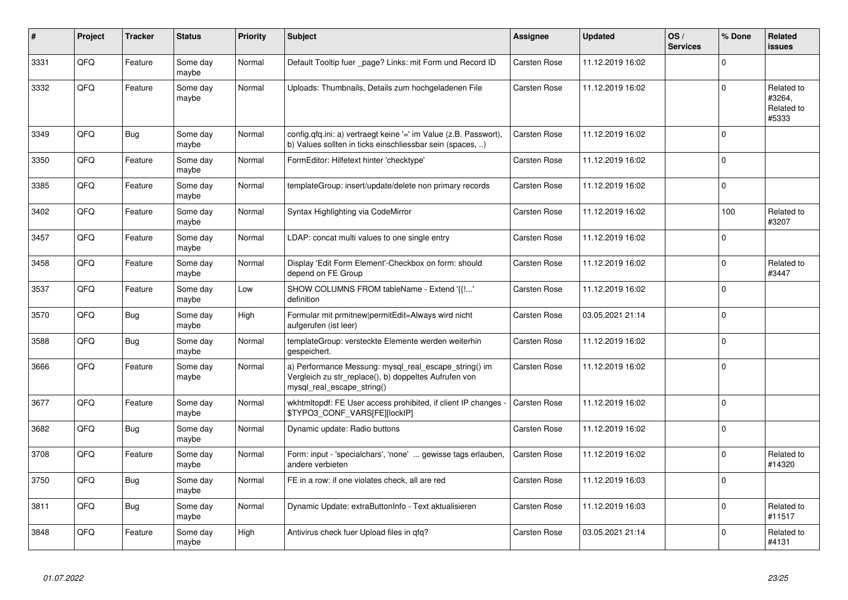| #    | Project | <b>Tracker</b> | <b>Status</b>     | <b>Priority</b> | <b>Subject</b>                                                                                                                               | Assignee     | <b>Updated</b>   | OS/<br><b>Services</b> | % Done      | Related<br><b>issues</b>                    |
|------|---------|----------------|-------------------|-----------------|----------------------------------------------------------------------------------------------------------------------------------------------|--------------|------------------|------------------------|-------------|---------------------------------------------|
| 3331 | QFQ     | Feature        | Some day<br>maybe | Normal          | Default Tooltip fuer _page? Links: mit Form und Record ID                                                                                    | Carsten Rose | 11.12.2019 16:02 |                        | $\mathbf 0$ |                                             |
| 3332 | QFQ     | Feature        | Some day<br>maybe | Normal          | Uploads: Thumbnails, Details zum hochgeladenen File                                                                                          | Carsten Rose | 11.12.2019 16:02 |                        | $\Omega$    | Related to<br>#3264,<br>Related to<br>#5333 |
| 3349 | QFQ     | Bug            | Some day<br>maybe | Normal          | config.qfq.ini: a) vertraegt keine '=' im Value (z.B. Passwort),<br>b) Values sollten in ticks einschliessbar sein (spaces, )                | Carsten Rose | 11.12.2019 16:02 |                        | $\Omega$    |                                             |
| 3350 | QFQ     | Feature        | Some day<br>maybe | Normal          | FormEditor: Hilfetext hinter 'checktype'                                                                                                     | Carsten Rose | 11.12.2019 16:02 |                        | $\Omega$    |                                             |
| 3385 | QFQ     | Feature        | Some day<br>maybe | Normal          | templateGroup: insert/update/delete non primary records                                                                                      | Carsten Rose | 11.12.2019 16:02 |                        | $\mathbf 0$ |                                             |
| 3402 | QFQ     | Feature        | Some day<br>maybe | Normal          | Syntax Highlighting via CodeMirror                                                                                                           | Carsten Rose | 11.12.2019 16:02 |                        | 100         | Related to<br>#3207                         |
| 3457 | QFQ     | Feature        | Some day<br>maybe | Normal          | LDAP: concat multi values to one single entry                                                                                                | Carsten Rose | 11.12.2019 16:02 |                        | $\mathbf 0$ |                                             |
| 3458 | QFQ     | Feature        | Some day<br>maybe | Normal          | Display 'Edit Form Element'-Checkbox on form: should<br>depend on FE Group                                                                   | Carsten Rose | 11.12.2019 16:02 |                        | $\mathbf 0$ | Related to<br>#3447                         |
| 3537 | QFQ     | Feature        | Some day<br>maybe | Low             | SHOW COLUMNS FROM tableName - Extend '{{!'<br>definition                                                                                     | Carsten Rose | 11.12.2019 16:02 |                        | $\Omega$    |                                             |
| 3570 | QFQ     | <b>Bug</b>     | Some day<br>maybe | High            | Formular mit prmitnew permitEdit=Always wird nicht<br>aufgerufen (ist leer)                                                                  | Carsten Rose | 03.05.2021 21:14 |                        | $\Omega$    |                                             |
| 3588 | QFQ     | Bug            | Some day<br>maybe | Normal          | templateGroup: versteckte Elemente werden weiterhin<br>gespeichert.                                                                          | Carsten Rose | 11.12.2019 16:02 |                        | $\Omega$    |                                             |
| 3666 | QFQ     | Feature        | Some day<br>maybe | Normal          | a) Performance Messung: mysql_real_escape_string() im<br>Vergleich zu str_replace(), b) doppeltes Aufrufen von<br>mysql real escape string() | Carsten Rose | 11.12.2019 16:02 |                        | $\mathbf 0$ |                                             |
| 3677 | QFQ     | Feature        | Some day<br>maybe | Normal          | wkhtmitopdf: FE User access prohibited, if client IP changes -<br>\$TYPO3_CONF_VARS[FE][lockIP]                                              | Carsten Rose | 11.12.2019 16:02 |                        | $\Omega$    |                                             |
| 3682 | QFQ     | <b>Bug</b>     | Some day<br>maybe | Normal          | Dynamic update: Radio buttons                                                                                                                | Carsten Rose | 11.12.2019 16:02 |                        | $\Omega$    |                                             |
| 3708 | QFQ     | Feature        | Some day<br>maybe | Normal          | Form: input - 'specialchars', 'none'  gewisse tags erlauben,<br>andere verbieten                                                             | Carsten Rose | 11.12.2019 16:02 |                        | $\Omega$    | Related to<br>#14320                        |
| 3750 | QFQ     | Bug            | Some day<br>maybe | Normal          | FE in a row: if one violates check, all are red                                                                                              | Carsten Rose | 11.12.2019 16:03 |                        | $\mathbf 0$ |                                             |
| 3811 | QFQ     | Bug            | Some day<br>maybe | Normal          | Dynamic Update: extraButtonInfo - Text aktualisieren                                                                                         | Carsten Rose | 11.12.2019 16:03 |                        | $\mathbf 0$ | Related to<br>#11517                        |
| 3848 | QFQ     | Feature        | Some day<br>maybe | High            | Antivirus check fuer Upload files in qfq?                                                                                                    | Carsten Rose | 03.05.2021 21:14 |                        | $\Omega$    | Related to<br>#4131                         |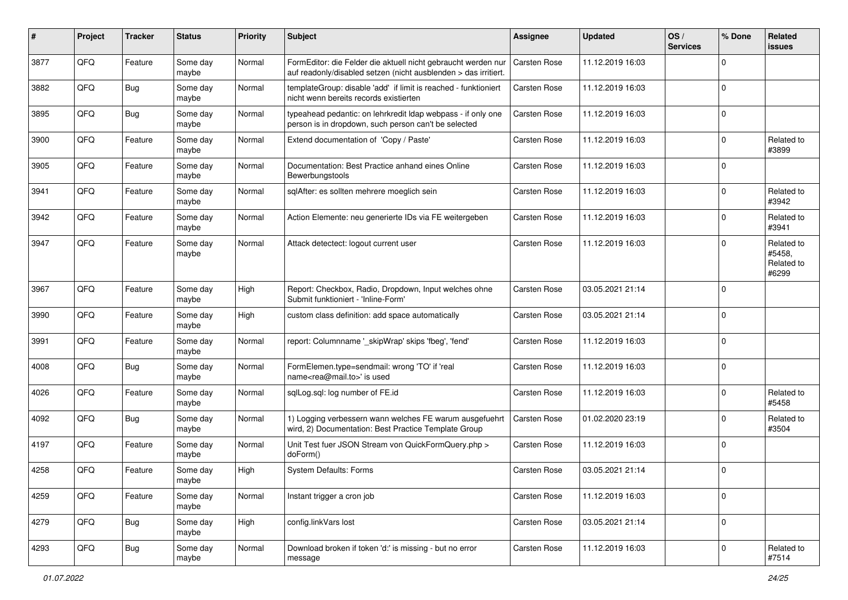| #    | Project | <b>Tracker</b> | <b>Status</b>     | <b>Priority</b> | <b>Subject</b>                                                                                                                   | <b>Assignee</b>     | <b>Updated</b>   | OS/<br><b>Services</b> | % Done      | Related<br>issues                           |
|------|---------|----------------|-------------------|-----------------|----------------------------------------------------------------------------------------------------------------------------------|---------------------|------------------|------------------------|-------------|---------------------------------------------|
| 3877 | QFQ     | Feature        | Some day<br>maybe | Normal          | FormEditor: die Felder die aktuell nicht gebraucht werden nur<br>auf readonly/disabled setzen (nicht ausblenden > das irritiert. | <b>Carsten Rose</b> | 11.12.2019 16:03 |                        | $\Omega$    |                                             |
| 3882 | QFQ     | <b>Bug</b>     | Some day<br>maybe | Normal          | templateGroup: disable 'add' if limit is reached - funktioniert<br>nicht wenn bereits records existierten                        | <b>Carsten Rose</b> | 11.12.2019 16:03 |                        | $\Omega$    |                                             |
| 3895 | QFQ     | <b>Bug</b>     | Some day<br>maybe | Normal          | typeahead pedantic: on lehrkredit Idap webpass - if only one<br>person is in dropdown, such person can't be selected             | Carsten Rose        | 11.12.2019 16:03 |                        | $\Omega$    |                                             |
| 3900 | QFQ     | Feature        | Some day<br>maybe | Normal          | Extend documentation of 'Copy / Paste'                                                                                           | <b>Carsten Rose</b> | 11.12.2019 16:03 |                        | $\Omega$    | Related to<br>#3899                         |
| 3905 | QFQ     | Feature        | Some day<br>maybe | Normal          | Documentation: Best Practice anhand eines Online<br>Bewerbungstools                                                              | Carsten Rose        | 11.12.2019 16:03 |                        | $\Omega$    |                                             |
| 3941 | QFQ     | Feature        | Some day<br>maybe | Normal          | sqlAfter: es sollten mehrere moeglich sein                                                                                       | Carsten Rose        | 11.12.2019 16:03 |                        | $\Omega$    | Related to<br>#3942                         |
| 3942 | QFQ     | Feature        | Some day<br>maybe | Normal          | Action Elemente: neu generierte IDs via FE weitergeben                                                                           | Carsten Rose        | 11.12.2019 16:03 |                        | $\Omega$    | Related to<br>#3941                         |
| 3947 | QFQ     | Feature        | Some day<br>maybe | Normal          | Attack detectect: logout current user                                                                                            | <b>Carsten Rose</b> | 11.12.2019 16:03 |                        | $\Omega$    | Related to<br>#5458,<br>Related to<br>#6299 |
| 3967 | QFQ     | Feature        | Some day<br>maybe | High            | Report: Checkbox, Radio, Dropdown, Input welches ohne<br>Submit funktioniert - 'Inline-Form'                                     | <b>Carsten Rose</b> | 03.05.2021 21:14 |                        | $\Omega$    |                                             |
| 3990 | QFQ     | Feature        | Some day<br>maybe | High            | custom class definition: add space automatically                                                                                 | <b>Carsten Rose</b> | 03.05.2021 21:14 |                        | $\Omega$    |                                             |
| 3991 | QFQ     | Feature        | Some day<br>maybe | Normal          | report: Columnname '_skipWrap' skips 'fbeg', 'fend'                                                                              | Carsten Rose        | 11.12.2019 16:03 |                        | $\mathbf 0$ |                                             |
| 4008 | QFQ     | <b>Bug</b>     | Some day<br>maybe | Normal          | FormElemen.type=sendmail: wrong 'TO' if 'real<br>name <rea@mail.to>' is used</rea@mail.to>                                       | <b>Carsten Rose</b> | 11.12.2019 16:03 |                        | $\Omega$    |                                             |
| 4026 | QFQ     | Feature        | Some day<br>maybe | Normal          | sqlLog.sql: log number of FE.id                                                                                                  | Carsten Rose        | 11.12.2019 16:03 |                        | $\Omega$    | Related to<br>#5458                         |
| 4092 | QFQ     | Bug            | Some day<br>maybe | Normal          | 1) Logging verbessern wann welches FE warum ausgefuehrt<br>wird, 2) Documentation: Best Practice Template Group                  | Carsten Rose        | 01.02.2020 23:19 |                        | $\Omega$    | Related to<br>#3504                         |
| 4197 | QFQ     | Feature        | Some day<br>maybe | Normal          | Unit Test fuer JSON Stream von QuickFormQuery.php ><br>doForm()                                                                  | Carsten Rose        | 11.12.2019 16:03 |                        | $\Omega$    |                                             |
| 4258 | QFQ     | Feature        | Some day<br>maybe | High            | <b>System Defaults: Forms</b>                                                                                                    | <b>Carsten Rose</b> | 03.05.2021 21:14 |                        | $\Omega$    |                                             |
| 4259 | QFQ     | Feature        | Some day<br>maybe | Normal          | Instant trigger a cron job                                                                                                       | Carsten Rose        | 11.12.2019 16:03 |                        | $\mathbf 0$ |                                             |
| 4279 | QFQ     | Bug            | Some day<br>maybe | High            | config.linkVars lost                                                                                                             | Carsten Rose        | 03.05.2021 21:14 |                        | $\mathbf 0$ |                                             |
| 4293 | QFQ     | <b>Bug</b>     | Some day<br>maybe | Normal          | Download broken if token 'd:' is missing - but no error<br>message                                                               | Carsten Rose        | 11.12.2019 16:03 |                        | $\mathbf 0$ | Related to<br>#7514                         |